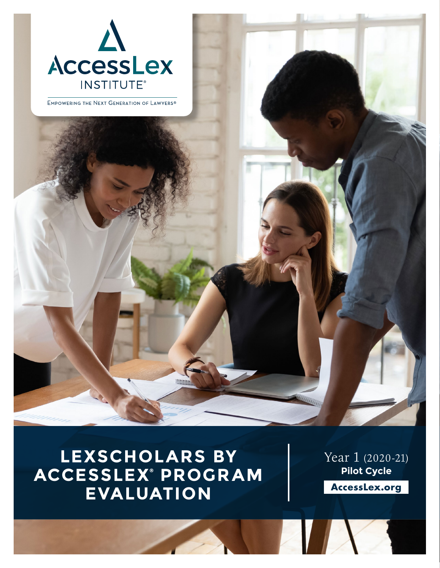

EMPOWERING THE NEXT GENERATION OF LAWYERS®

## **LEXSCHOLARS BY ACCESSLEX® PROGRAM EVALUATION**

Year 1 (2020-21) **Pilot Cycle**

**AccessLex.org**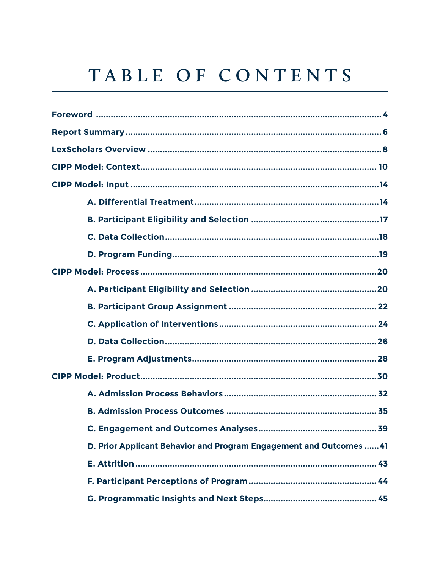## TABLE OF CONTENTS

| <b>C. Engagement and Outcomes Analyses</b><br>39                    |
|---------------------------------------------------------------------|
| D. Prior Applicant Behavior and Program Engagement and Outcomes  41 |
|                                                                     |
|                                                                     |
|                                                                     |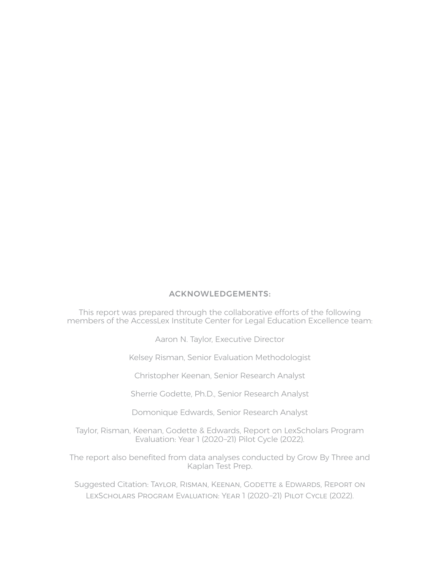#### ACKNOWLEDGEMENTS:

This report was prepared through the collaborative efforts of the following members of the AccessLex Institute Center for Legal Education Excellence team:

Aaron N. Taylor, Executive Director

Kelsey Risman, Senior Evaluation Methodologist

Christopher Keenan, Senior Research Analyst

Sherrie Godette, Ph.D., Senior Research Analyst

Domonique Edwards, Senior Research Analyst

Taylor, Risman, Keenan, Godette & Edwards, Report on LexScholars Program Evaluation: Year 1 (2020–21) Pilot Cycle (2022).

The report also benefited from data analyses conducted by Grow By Three and Kaplan Test Prep.

Suggested Citation: TAYLOR, RISMAN, KEENAN, GODETTE & EDWARDS, REPORT ON LexScholars Program Evaluation: Year 1 (2020–21) Pilot Cycle (2022).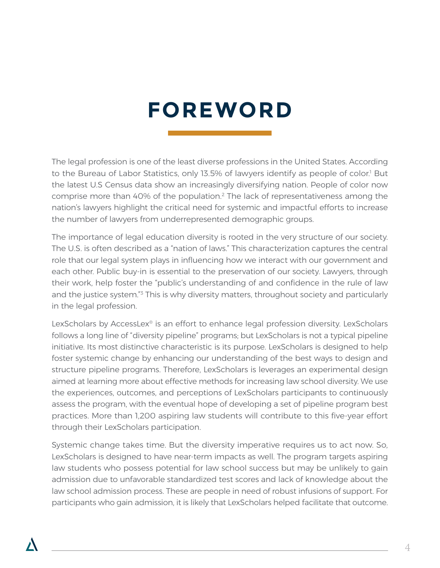## **FOREWORD**

The legal profession is one of the least diverse professions in the United States. According to the Bureau of Labor Statistics, only 13.5% of lawyers identify as people of color.<sup>1</sup> But the latest U.S Census data show an increasingly diversifying nation. People of color now comprise more than 40% of the population.<sup>2</sup> The lack of representativeness among the nation's lawyers highlight the critical need for systemic and impactful efforts to increase the number of lawyers from underrepresented demographic groups.

The importance of legal education diversity is rooted in the very structure of our society. The U.S. is often described as a "nation of laws." This characterization captures the central role that our legal system plays in influencing how we interact with our government and each other. Public buy-in is essential to the preservation of our society. Lawyers, through their work, help foster the "public's understanding of and confidence in the rule of law and the justice system.<sup>"3</sup> This is why diversity matters, throughout society and particularly in the legal profession.

LexScholars by AccessLex® is an effort to enhance legal profession diversity. LexScholars follows a long line of "diversity pipeline" programs; but LexScholars is not a typical pipeline initiative. Its most distinctive characteristic is its purpose. LexScholars is designed to help foster systemic change by enhancing our understanding of the best ways to design and structure pipeline programs. Therefore, LexScholars is leverages an experimental design aimed at learning more about effective methods for increasing law school diversity. We use the experiences, outcomes, and perceptions of LexScholars participants to continuously assess the program, with the eventual hope of developing a set of pipeline program best practices. More than 1,200 aspiring law students will contribute to this five-year effort through their LexScholars participation.

Systemic change takes time. But the diversity imperative requires us to act now. So, LexScholars is designed to have near-term impacts as well. The program targets aspiring law students who possess potential for law school success but may be unlikely to gain admission due to unfavorable standardized test scores and lack of knowledge about the law school admission process. These are people in need of robust infusions of support. For participants who gain admission, it is likely that LexScholars helped facilitate that outcome.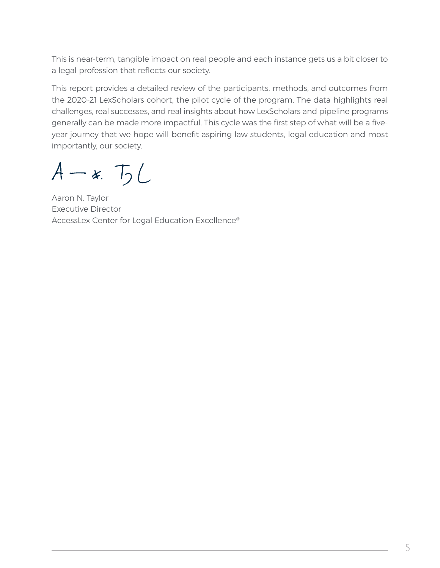This is near-term, tangible impact on real people and each instance gets us a bit closer to a legal profession that reflects our society.

This report provides a detailed review of the participants, methods, and outcomes from the 2020-21 LexScholars cohort, the pilot cycle of the program. The data highlights real challenges, real successes, and real insights about how LexScholars and pipeline programs generally can be made more impactful. This cycle was the first step of what will be a fiveyear journey that we hope will benefit aspiring law students, legal education and most importantly, our society.

 $A - x$ ,  $T_2$ 

Aaron N. Taylor Executive Director AccessLex Center for Legal Education Excellence®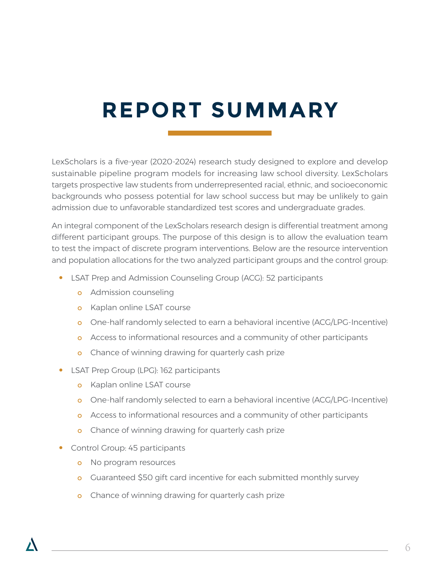# **REPORT SUMMARY**

LexScholars is a five-year (2020-2024) research study designed to explore and develop sustainable pipeline program models for increasing law school diversity. LexScholars targets prospective law students from underrepresented racial, ethnic, and socioeconomic backgrounds who possess potential for law school success but may be unlikely to gain admission due to unfavorable standardized test scores and undergraduate grades.

An integral component of the LexScholars research design is differential treatment among different participant groups. The purpose of this design is to allow the evaluation team to test the impact of discrete program interventions. Below are the resource intervention and population allocations for the two analyzed participant groups and the control group:

- **•** LSAT Prep and Admission Counseling Group (ACG): 52 participants
	- **o** Admission counseling
	- o Kaplan online LSAT course
	- o One-half randomly selected to earn a behavioral incentive (ACG/LPG-Incentive)
	- o Access to informational resources and a community of other participants
	- o Chance of winning drawing for quarterly cash prize
- **•** LSAT Prep Group (LPG): 162 participants
	- **o** Kaplan online LSAT course
	- o One-half randomly selected to earn a behavioral incentive (ACG/LPG-Incentive)
	- o Access to informational resources and a community of other participants
	- o Chance of winning drawing for quarterly cash prize
- **•** Control Group: 45 participants
	- o No program resources
	- o Guaranteed \$50 gift card incentive for each submitted monthly survey
	- o Chance of winning drawing for quarterly cash prize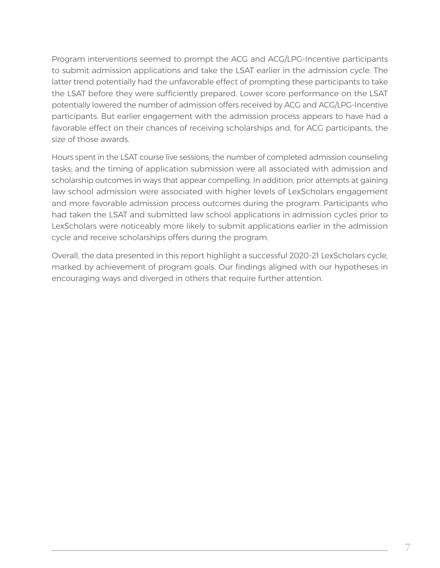Program interventions seemed to prompt the ACG and ACG/LPG-Incentive participants to submit admission applications and take the LSAT earlier in the admission cycle. The latter trend potentially had the unfavorable effect of prompting these participants to take the LSAT before they were sufficiently prepared. Lower score performance on the LSAT potentially lowered the number of admission offers received by ACG and ACG/LPG-Incentive participants. But earlier engagement with the admission process appears to have had a favorable effect on their chances of receiving scholarships and, for ACG participants, the size of those awards.

Hours spent in the LSAT course live sessions; the number of completed admission counseling tasks; and the timing of application submission were all associated with admission and scholarship outcomes in ways that appear compelling. In addition, prior attempts at gaining law school admission were associated with higher levels of LexScholars engagement and more favorable admission process outcomes during the program. Participants who had taken the LSAT and submitted law school applications in admission cycles prior to LexScholars were noticeably more likely to submit applications earlier in the admission cycle and receive scholarships offers during the program.

Overall, the data presented in this report highlight a successful 2020-21 LexScholars cycle, marked by achievement of program goals. Our findings aligned with our hypotheses in encouraging ways and diverged in others that require further attention.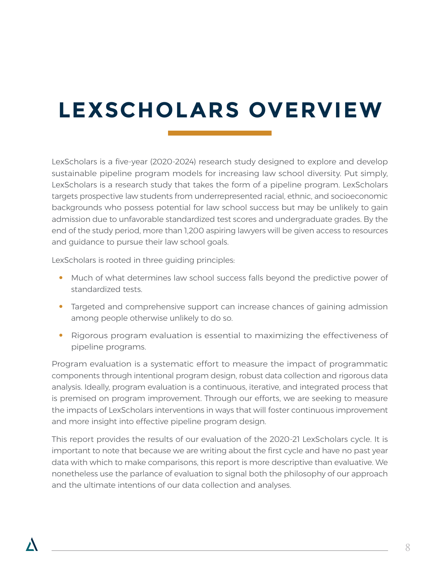# **LEXSCHOLARS OVERVIEW**

LexScholars is a five-year (2020-2024) research study designed to explore and develop sustainable pipeline program models for increasing law school diversity. Put simply, LexScholars is a research study that takes the form of a pipeline program. LexScholars targets prospective law students from underrepresented racial, ethnic, and socioeconomic backgrounds who possess potential for law school success but may be unlikely to gain admission due to unfavorable standardized test scores and undergraduate grades. By the end of the study period, more than 1,200 aspiring lawyers will be given access to resources and guidance to pursue their law school goals.

LexScholars is rooted in three guiding principles:

- **•** Much of what determines law school success falls beyond the predictive power of standardized tests.
- **•** Targeted and comprehensive support can increase chances of gaining admission among people otherwise unlikely to do so.
- **•** Rigorous program evaluation is essential to maximizing the effectiveness of pipeline programs.

Program evaluation is a systematic effort to measure the impact of programmatic components through intentional program design, robust data collection and rigorous data analysis. Ideally, program evaluation is a continuous, iterative, and integrated process that is premised on program improvement. Through our efforts, we are seeking to measure the impacts of LexScholars interventions in ways that will foster continuous improvement and more insight into effective pipeline program design.

This report provides the results of our evaluation of the 2020-21 LexScholars cycle. It is important to note that because we are writing about the first cycle and have no past year data with which to make comparisons, this report is more descriptive than evaluative. We nonetheless use the parlance of evaluation to signal both the philosophy of our approach and the ultimate intentions of our data collection and analyses.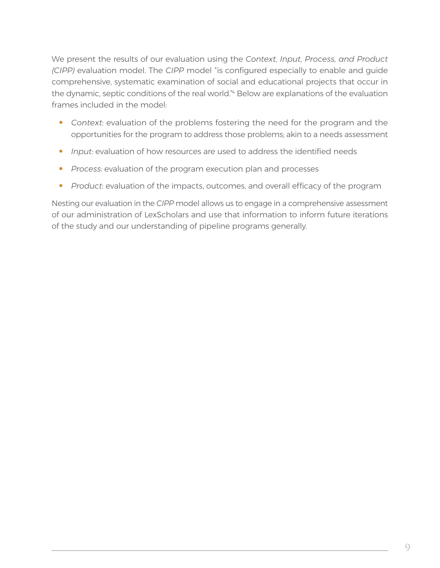We present the results of our evaluation using the *Context, Input, Process, and Product (CIPP)* evaluation model. The *CIPP* model "is configured especially to enable and guide comprehensive, systematic examination of social and educational projects that occur in the dynamic, septic conditions of the real world."<sup>4</sup> Below are explanations of the evaluation frames included in the model:

- **•** *Context*: evaluation of the problems fostering the need for the program and the opportunities for the program to address those problems; akin to a needs assessment
- **•** *Input*: evaluation of how resources are used to address the identified needs
- **•** *Process*: evaluation of the program execution plan and processes
- **•** *Product*: evaluation of the impacts, outcomes, and overall efficacy of the program

Nesting our evaluation in the *CIPP* model allows us to engage in a comprehensive assessment of our administration of LexScholars and use that information to inform future iterations of the study and our understanding of pipeline programs generally.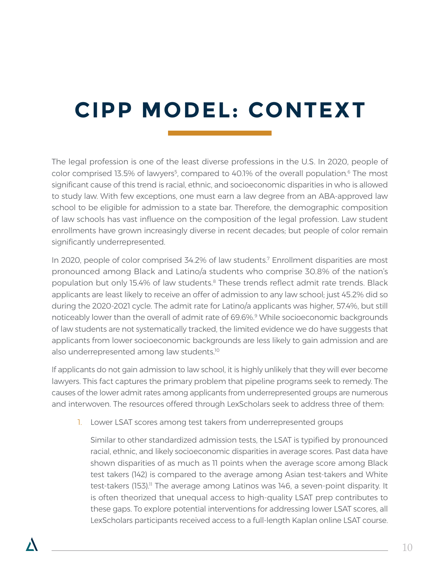# **CIPP MODEL: CONTEXT**

The legal profession is one of the least diverse professions in the U.S. In 2020, people of color comprised 13.5% of lawyers<sup>5</sup>, compared to 40.1% of the overall population.<sup>6</sup> The most significant cause of this trend is racial, ethnic, and socioeconomic disparities in who is allowed to study law. With few exceptions, one must earn a law degree from an ABA-approved law school to be eligible for admission to a state bar. Therefore, the demographic composition of law schools has vast influence on the composition of the legal profession. Law student enrollments have grown increasingly diverse in recent decades; but people of color remain significantly underrepresented.

In 2020, people of color comprised 34.2% of law students.<sup>7</sup> Enrollment disparities are most pronounced among Black and Latino/a students who comprise 30.8% of the nation's population but only 15.4% of law students.<sup>8</sup> These trends reflect admit rate trends. Black applicants are least likely to receive an offer of admission to any law school; just 45.2% did so during the 2020-2021 cycle. The admit rate for Latino/a applicants was higher, 57.4%, but still noticeably lower than the overall of admit rate of 69.6%.<sup>9</sup> While socioeconomic backgrounds of law students are not systematically tracked, the limited evidence we do have suggests that applicants from lower socioeconomic backgrounds are less likely to gain admission and are also underrepresented among law students.<sup>10</sup>

If applicants do not gain admission to law school, it is highly unlikely that they will ever become lawyers. This fact captures the primary problem that pipeline programs seek to remedy. The causes of the lower admit rates among applicants from underrepresented groups are numerous and interwoven. The resources offered through LexScholars seek to address three of them:

1. Lower LSAT scores among test takers from underrepresented groups

Similar to other standardized admission tests, the LSAT is typified by pronounced racial, ethnic, and likely socioeconomic disparities in average scores. Past data have shown disparities of as much as 11 points when the average score among Black test takers (142) is compared to the average among Asian test-takers and White test-takers (153).<sup>11</sup> The average among Latinos was 146, a seven-point disparity. It is often theorized that unequal access to high-quality LSAT prep contributes to these gaps. To explore potential interventions for addressing lower LSAT scores, all LexScholars participants received access to a full-length Kaplan online LSAT course.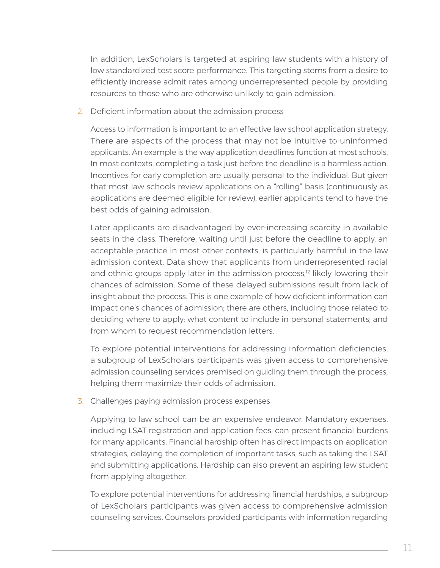In addition, LexScholars is targeted at aspiring law students with a history of low standardized test score performance. This targeting stems from a desire to efficiently increase admit rates among underrepresented people by providing resources to those who are otherwise unlikely to gain admission.

2. Deficient information about the admission process

Access to information is important to an effective law school application strategy. There are aspects of the process that may not be intuitive to uninformed applicants. An example is the way application deadlines function at most schools. In most contexts, completing a task just before the deadline is a harmless action. Incentives for early completion are usually personal to the individual. But given that most law schools review applications on a "rolling" basis (continuously as applications are deemed eligible for review), earlier applicants tend to have the best odds of gaining admission.

Later applicants are disadvantaged by ever-increasing scarcity in available seats in the class. Therefore, waiting until just before the deadline to apply, an acceptable practice in most other contexts, is particularly harmful in the law admission context. Data show that applicants from underrepresented racial and ethnic groups apply later in the admission process,<sup>12</sup> likely lowering their chances of admission. Some of these delayed submissions result from lack of insight about the process. This is one example of how deficient information can impact one's chances of admission; there are others, including those related to deciding where to apply; what content to include in personal statements; and from whom to request recommendation letters.

To explore potential interventions for addressing information deficiencies, a subgroup of LexScholars participants was given access to comprehensive admission counseling services premised on guiding them through the process, helping them maximize their odds of admission.

3. Challenges paying admission process expenses

Applying to law school can be an expensive endeavor. Mandatory expenses, including LSAT registration and application fees, can present financial burdens for many applicants. Financial hardship often has direct impacts on application strategies, delaying the completion of important tasks, such as taking the LSAT and submitting applications. Hardship can also prevent an aspiring law student from applying altogether.

To explore potential interventions for addressing financial hardships, a subgroup of LexScholars participants was given access to comprehensive admission counseling services. Counselors provided participants with information regarding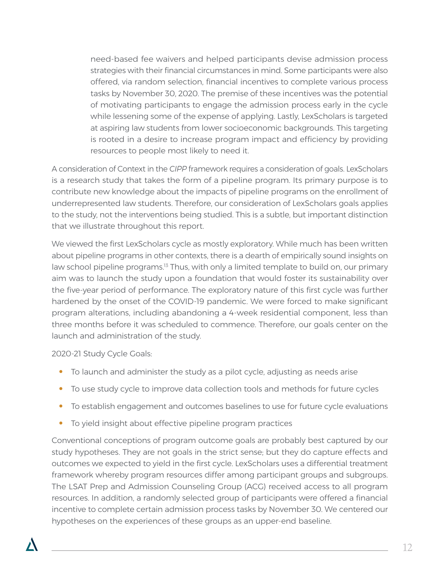need-based fee waivers and helped participants devise admission process strategies with their financial circumstances in mind. Some participants were also offered, via random selection, financial incentives to complete various process tasks by November 30, 2020. The premise of these incentives was the potential of motivating participants to engage the admission process early in the cycle while lessening some of the expense of applying. Lastly, LexScholars is targeted at aspiring law students from lower socioeconomic backgrounds. This targeting is rooted in a desire to increase program impact and efficiency by providing resources to people most likely to need it.

A consideration of Context in the *CIPP* framework requires a consideration of goals. LexScholars is a research study that takes the form of a pipeline program. Its primary purpose is to contribute new knowledge about the impacts of pipeline programs on the enrollment of underrepresented law students. Therefore, our consideration of LexScholars goals applies to the study, not the interventions being studied. This is a subtle, but important distinction that we illustrate throughout this report.

We viewed the first LexScholars cycle as mostly exploratory. While much has been written about pipeline programs in other contexts, there is a dearth of empirically sound insights on law school pipeline programs.<sup>13</sup> Thus, with only a limited template to build on, our primary aim was to launch the study upon a foundation that would foster its sustainability over the five-year period of performance. The exploratory nature of this first cycle was further hardened by the onset of the COVID-19 pandemic. We were forced to make significant program alterations, including abandoning a 4-week residential component, less than three months before it was scheduled to commence. Therefore, our goals center on the launch and administration of the study.

2020-21 Study Cycle Goals:

- **•** To launch and administer the study as a pilot cycle, adjusting as needs arise
- **•** To use study cycle to improve data collection tools and methods for future cycles
- **•** To establish engagement and outcomes baselines to use for future cycle evaluations
- **•** To yield insight about effective pipeline program practices

Conventional conceptions of program outcome goals are probably best captured by our study hypotheses. They are not goals in the strict sense; but they do capture effects and outcomes we expected to yield in the first cycle. LexScholars uses a differential treatment framework whereby program resources differ among participant groups and subgroups. The LSAT Prep and Admission Counseling Group (ACG) received access to all program resources. In addition, a randomly selected group of participants were offered a financial incentive to complete certain admission process tasks by November 30. We centered our hypotheses on the experiences of these groups as an upper-end baseline.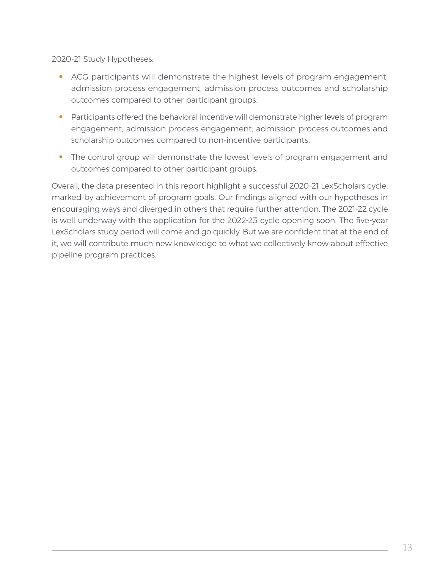2020-21 Study Hypotheses:

- **•** ACG participants will demonstrate the highest levels of program engagement, admission process engagement, admission process outcomes and scholarship outcomes compared to other participant groups.
- Participants offered the behavioral incentive will demonstrate higher levels of program engagement, admission process engagement, admission process outcomes and scholarship outcomes compared to non-incentive participants.
- **•** The control group will demonstrate the lowest levels of program engagement and outcomes compared to other participant groups.

Overall, the data presented in this report highlight a successful 2020-21 LexScholars cycle, marked by achievement of program goals. Our findings aligned with our hypotheses in encouraging ways and diverged in others that require further attention. The 2021-22 cycle is well underway with the application for the 2022-23 cycle opening soon. The five-year LexScholars study period will come and go quickly. But we are confident that at the end of it, we will contribute much new knowledge to what we collectively know about effective pipeline program practices.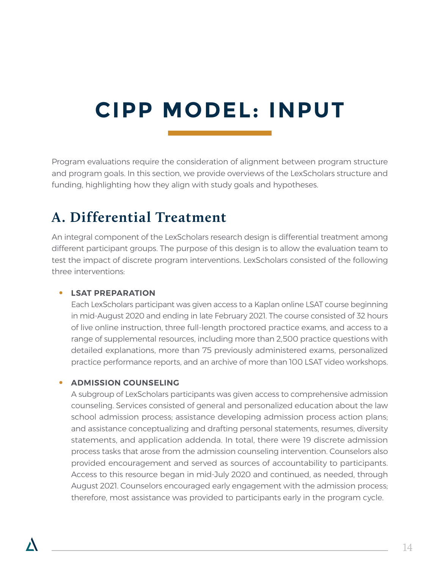# **CIPP MODEL: INPUT**

Program evaluations require the consideration of alignment between program structure and program goals. In this section, we provide overviews of the LexScholars structure and funding, highlighting how they align with study goals and hypotheses.

### **A. Differential Treatment**

An integral component of the LexScholars research design is differential treatment among different participant groups. The purpose of this design is to allow the evaluation team to test the impact of discrete program interventions. LexScholars consisted of the following three interventions:

#### **• LSAT PREPARATION**

Each LexScholars participant was given access to a Kaplan online LSAT course beginning in mid-August 2020 and ending in late February 2021. The course consisted of 32 hours of live online instruction, three full-length proctored practice exams, and access to a range of supplemental resources, including more than 2,500 practice questions with detailed explanations, more than 75 previously administered exams, personalized practice performance reports, and an archive of more than 100 LSAT video workshops.

#### **• ADMISSION COUNSELING**

A subgroup of LexScholars participants was given access to comprehensive admission counseling. Services consisted of general and personalized education about the law school admission process; assistance developing admission process action plans; and assistance conceptualizing and drafting personal statements, resumes, diversity statements, and application addenda. In total, there were 19 discrete admission process tasks that arose from the admission counseling intervention. Counselors also provided encouragement and served as sources of accountability to participants. Access to this resource began in mid-July 2020 and continued, as needed, through August 2021. Counselors encouraged early engagement with the admission process; therefore, most assistance was provided to participants early in the program cycle.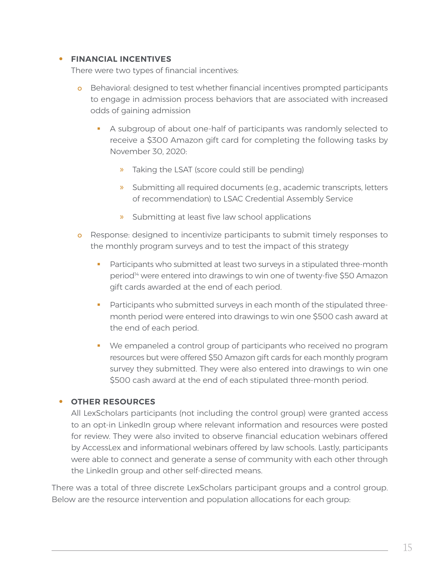#### **• FINANCIAL INCENTIVES**

There were two types of financial incentives:

- o Behavioral: designed to test whether financial incentives prompted participants to engage in admission process behaviors that are associated with increased odds of gaining admission
	- A subgroup of about one-half of participants was randomly selected to receive a \$300 Amazon gift card for completing the following tasks by November 30, 2020:
		- » Taking the LSAT (score could still be pending)
		- » Submitting all required documents (e.g., academic transcripts, letters of recommendation) to LSAC Credential Assembly Service
		- » Submitting at least five law school applications
- o Response: designed to incentivize participants to submit timely responses to the monthly program surveys and to test the impact of this strategy
	- **Participants who submitted at least two surveys in a stipulated three-month** period14 were entered into drawings to win one of twenty-five \$50 Amazon gift cards awarded at the end of each period.
	- **Participants who submitted surveys in each month of the stipulated three**month period were entered into drawings to win one \$500 cash award at the end of each period.
	- We empaneled a control group of participants who received no program resources but were offered \$50 Amazon gift cards for each monthly program survey they submitted. They were also entered into drawings to win one \$500 cash award at the end of each stipulated three-month period.

#### **• OTHER RESOURCES**

All LexScholars participants (not including the control group) were granted access to an opt-in LinkedIn group where relevant information and resources were posted for review. They were also invited to observe financial education webinars offered by AccessLex and informational webinars offered by law schools. Lastly, participants were able to connect and generate a sense of community with each other through the LinkedIn group and other self-directed means.

There was a total of three discrete LexScholars participant groups and a control group. Below are the resource intervention and population allocations for each group: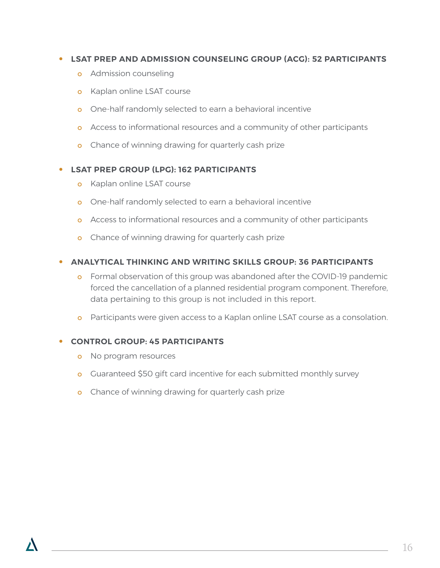### **• LSAT PREP AND ADMISSION COUNSELING GROUP (ACG): 52 PARTICIPANTS**

- **o** Admission counseling
- o Kaplan online LSAT course
- o One-half randomly selected to earn a behavioral incentive
- o Access to informational resources and a community of other participants
- o Chance of winning drawing for quarterly cash prize

#### **• LSAT PREP GROUP (LPG): 162 PARTICIPANTS**

- **o** Kaplan online LSAT course
- o One-half randomly selected to earn a behavioral incentive
- o Access to informational resources and a community of other participants
- o Chance of winning drawing for quarterly cash prize

#### **• ANALYTICAL THINKING AND WRITING SKILLS GROUP: 36 PARTICIPANTS**

- o Formal observation of this group was abandoned after the COVID-19 pandemic forced the cancellation of a planned residential program component. Therefore, data pertaining to this group is not included in this report.
- o Participants were given access to a Kaplan online LSAT course as a consolation.

#### **• CONTROL GROUP: 45 PARTICIPANTS**

- o No program resources
- o Guaranteed \$50 gift card incentive for each submitted monthly survey
- o Chance of winning drawing for quarterly cash prize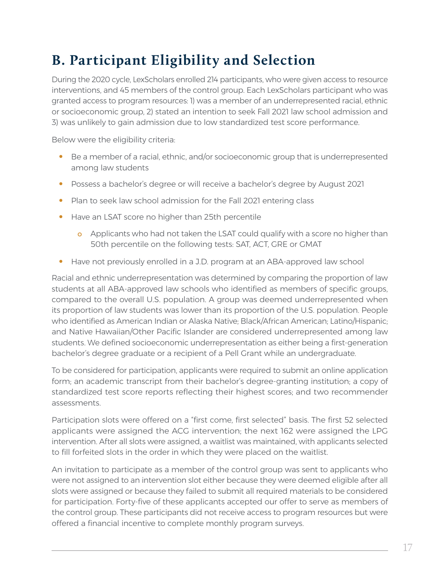### **B. Participant Eligibility and Selection**

During the 2020 cycle, LexScholars enrolled 214 participants, who were given access to resource interventions, and 45 members of the control group. Each LexScholars participant who was granted access to program resources: 1) was a member of an underrepresented racial, ethnic or socioeconomic group, 2) stated an intention to seek Fall 2021 law school admission and 3) was unlikely to gain admission due to low standardized test score performance.

Below were the eligibility criteria:

- **•** Be a member of a racial, ethnic, and/or socioeconomic group that is underrepresented among law students
- **•** Possess a bachelor's degree or will receive a bachelor's degree by August 2021
- **•** Plan to seek law school admission for the Fall 2021 entering class
- **•** Have an LSAT score no higher than 25th percentile
	- o Applicants who had not taken the LSAT could qualify with a score no higher than 50th percentile on the following tests: SAT, ACT, GRE or GMAT
- **•** Have not previously enrolled in a J.D. program at an ABA-approved law school

Racial and ethnic underrepresentation was determined by comparing the proportion of law students at all ABA-approved law schools who identified as members of specific groups, compared to the overall U.S. population. A group was deemed underrepresented when its proportion of law students was lower than its proportion of the U.S. population. People who identified as American Indian or Alaska Native; Black/African American; Latino/Hispanic; and Native Hawaiian/Other Pacific Islander are considered underrepresented among law students. We defined socioeconomic underrepresentation as either being a first-generation bachelor's degree graduate or a recipient of a Pell Grant while an undergraduate.

To be considered for participation, applicants were required to submit an online application form; an academic transcript from their bachelor's degree-granting institution; a copy of standardized test score reports reflecting their highest scores; and two recommender assessments.

Participation slots were offered on a "first come, first selected" basis. The first 52 selected applicants were assigned the ACG intervention; the next 162 were assigned the LPG intervention. After all slots were assigned, a waitlist was maintained, with applicants selected to fill forfeited slots in the order in which they were placed on the waitlist.

An invitation to participate as a member of the control group was sent to applicants who were not assigned to an intervention slot either because they were deemed eligible after all slots were assigned or because they failed to submit all required materials to be considered for participation. Forty-five of these applicants accepted our offer to serve as members of the control group. These participants did not receive access to program resources but were offered a financial incentive to complete monthly program surveys.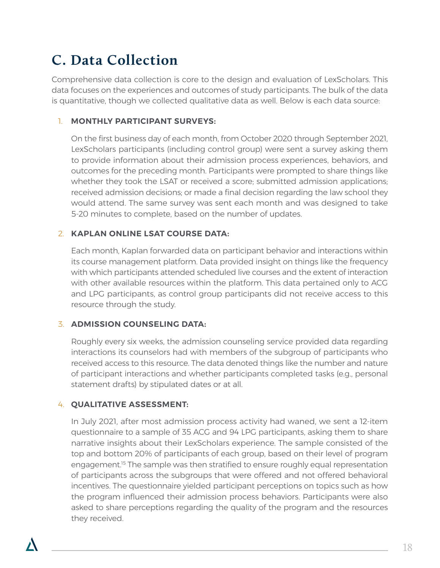### **C. Data Collection**

Comprehensive data collection is core to the design and evaluation of LexScholars. This data focuses on the experiences and outcomes of study participants. The bulk of the data is quantitative, though we collected qualitative data as well. Below is each data source:

### 1. **MONTHLY PARTICIPANT SURVEYS:**

On the first business day of each month, from October 2020 through September 2021, LexScholars participants (including control group) were sent a survey asking them to provide information about their admission process experiences, behaviors, and outcomes for the preceding month. Participants were prompted to share things like whether they took the LSAT or received a score; submitted admission applications; received admission decisions; or made a final decision regarding the law school they would attend. The same survey was sent each month and was designed to take 5-20 minutes to complete, based on the number of updates.

### 2. **KAPLAN ONLINE LSAT COURSE DATA:**

Each month, Kaplan forwarded data on participant behavior and interactions within its course management platform. Data provided insight on things like the frequency with which participants attended scheduled live courses and the extent of interaction with other available resources within the platform. This data pertained only to ACG and LPG participants, as control group participants did not receive access to this resource through the study.

### 3. **ADMISSION COUNSELING DATA:**

Roughly every six weeks, the admission counseling service provided data regarding interactions its counselors had with members of the subgroup of participants who received access to this resource. The data denoted things like the number and nature of participant interactions and whether participants completed tasks (e.g., personal statement drafts) by stipulated dates or at all.

### 4. **QUALITATIVE ASSESSMENT:**

In July 2021, after most admission process activity had waned, we sent a 12-item questionnaire to a sample of 35 ACG and 94 LPG participants, asking them to share narrative insights about their LexScholars experience. The sample consisted of the top and bottom 20% of participants of each group, based on their level of program engagement.<sup>15</sup> The sample was then stratified to ensure roughly equal representation of participants across the subgroups that were offered and not offered behavioral incentives. The questionnaire yielded participant perceptions on topics such as how the program influenced their admission process behaviors. Participants were also asked to share perceptions regarding the quality of the program and the resources they received.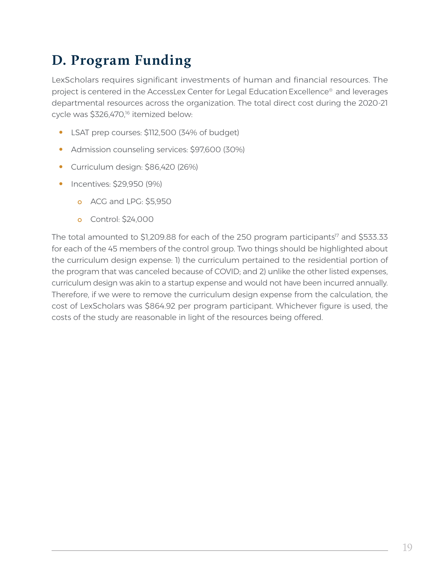### **D. Program Funding**

LexScholars requires significant investments of human and financial resources. The project is centered in the AccessLex Center for Legal Education Excellence® and leverages departmental resources across the organization. The total direct cost during the 2020-21 cycle was \$326,470,<sup>16</sup> itemized below:

- **•** LSAT prep courses: \$112,500 (34% of budget)
- **•** Admission counseling services: \$97,600 (30%)
- **•** Curriculum design: \$86,420 (26%)
- **•** Incentives: \$29,950 (9%)
	- o ACG and LPG: \$5,950
	- o Control: \$24,000

The total amounted to \$1,209.88 for each of the 250 program participants<sup>17</sup> and \$533.33 for each of the 45 members of the control group. Two things should be highlighted about the curriculum design expense: 1) the curriculum pertained to the residential portion of the program that was canceled because of COVID; and 2) unlike the other listed expenses, curriculum design was akin to a startup expense and would not have been incurred annually. Therefore, if we were to remove the curriculum design expense from the calculation, the cost of LexScholars was \$864.92 per program participant. Whichever figure is used, the costs of the study are reasonable in light of the resources being offered.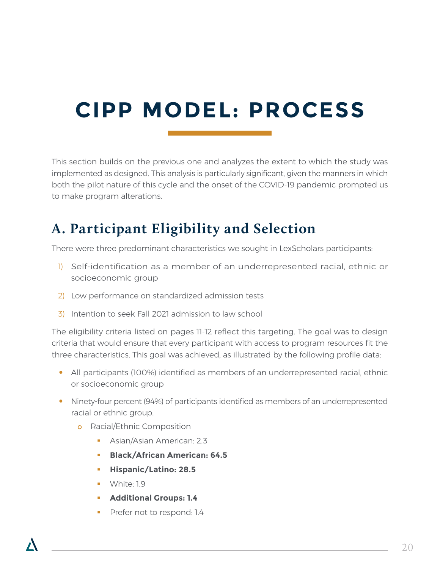# **CIPP MODEL: PROCESS**

This section builds on the previous one and analyzes the extent to which the study was implemented as designed. This analysis is particularly significant, given the manners in which both the pilot nature of this cycle and the onset of the COVID-19 pandemic prompted us to make program alterations.

### **A. Participant Eligibility and Selection**

There were three predominant characteristics we sought in LexScholars participants:

- 1) Self-identification as a member of an underrepresented racial, ethnic or socioeconomic group
- 2) Low performance on standardized admission tests
- 3) Intention to seek Fall 2021 admission to law school

The eligibility criteria listed on pages 11-12 reflect this targeting. The goal was to design criteria that would ensure that every participant with access to program resources fit the three characteristics. This goal was achieved, as illustrated by the following profile data:

- All participants (100%) identified as members of an underrepresented racial, ethnic or socioeconomic group
- **•** Ninety-four percent (94%) of participants identified as members of an underrepresented racial or ethnic group.
	- **o** Racial/Ethnic Composition
		- Asian/Asian American: 2.3
		- **Black/African American: 64.5**
		- **Hispanic/Latino: 28.5**
		- **White: 1.9**
		- **Additional Groups: 1.4**
		- Prefer not to respond: 1.4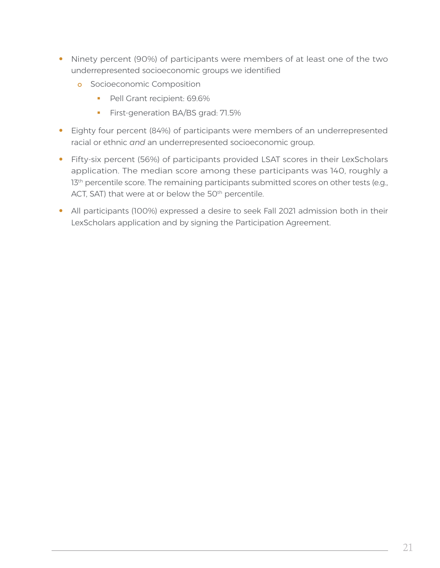- **•** Ninety percent (90%) of participants were members of at least one of the two underrepresented socioeconomic groups we identified
	- **o** Socioeconomic Composition
		- Pell Grant recipient: 69.6%
		- **First-generation BA/BS grad: 71.5%**
- **•** Eighty four percent (84%) of participants were members of an underrepresented racial or ethnic *and* an underrepresented socioeconomic group.
- **•** Fifty-six percent (56%) of participants provided LSAT scores in their LexScholars application. The median score among these participants was 140, roughly a 13<sup>th</sup> percentile score. The remaining participants submitted scores on other tests (e.g., ACT, SAT) that were at or below the 50<sup>th</sup> percentile.
- **•** All participants (100%) expressed a desire to seek Fall 2021 admission both in their LexScholars application and by signing the Participation Agreement.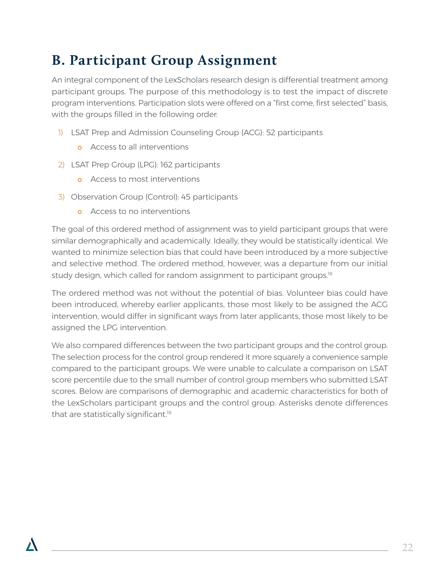### **B. Participant Group Assignment**

An integral component of the LexScholars research design is differential treatment among participant groups. The purpose of this methodology is to test the impact of discrete program interventions. Participation slots were offered on a "first come, first selected" basis, with the groups filled in the following order:

- 1) LSAT Prep and Admission Counseling Group (ACG): 52 participants
	- o Access to all interventions
- 2) LSAT Prep Group (LPG): 162 participants
	- **o** Access to most interventions
- 3) Observation Group (Control): 45 participants
	- o Access to no interventions

The goal of this ordered method of assignment was to yield participant groups that were similar demographically and academically. Ideally, they would be statistically identical. We wanted to minimize selection bias that could have been introduced by a more subjective and selective method. The ordered method, however, was a departure from our initial study design, which called for random assignment to participant groups.<sup>18</sup>

The ordered method was not without the potential of bias. Volunteer bias could have been introduced, whereby earlier applicants, those most likely to be assigned the ACG intervention, would differ in significant ways from later applicants, those most likely to be assigned the LPG intervention.

We also compared differences between the two participant groups and the control group. The selection process for the control group rendered it more squarely a convenience sample compared to the participant groups. We were unable to calculate a comparison on LSAT score percentile due to the small number of control group members who submitted LSAT scores. Below are comparisons of demographic and academic characteristics for both of the LexScholars participant groups and the control group. Asterisks denote differences that are statistically significant.<sup>19</sup>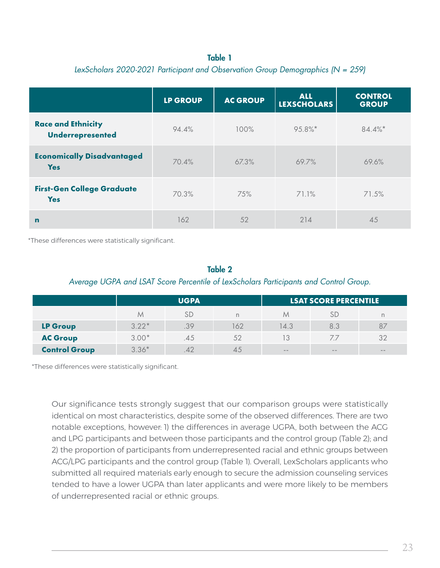### Table 1 *LexScholars 2020-2021 Participant and Observation Group Demographics (N = 259)*

|                                                 | <b>LP GROUP</b> | <b>AC GROUP</b> | <b>ALL</b><br><b>LEXSCHOLARS</b> | <b>CONTROL</b><br><b>GROUP</b> |
|-------------------------------------------------|-----------------|-----------------|----------------------------------|--------------------------------|
| <b>Race and Ethnicity</b><br>Underrepresented   | 94.4%           | 100%            | 95.8%*                           | $84.4\%$ *                     |
| <b>Economically Disadvantaged</b><br><b>Yes</b> | 70.4%           | 67.3%           | 69.7%                            | 69.6%                          |
| <b>First-Gen College Graduate</b><br><b>Yes</b> | 70.3%           | 75%             | 71.1%                            | 71.5%                          |
| $\mathbf n$                                     | 162             | 52              | 214                              | 45                             |

\*These differences were statistically significant.

#### Table 2

#### *Average UGPA and LSAT Score Percentile of LexScholars Participants and Control Group.*

|                      | <b>UGPA</b> |      |             | <b>LSAT SCORE PERCENTILE</b> |               |       |
|----------------------|-------------|------|-------------|------------------------------|---------------|-------|
|                      | M           | SD   |             | M                            | SĽ            | n     |
| <b>LP Group</b>      | $3.22*$     | .39  | 162         | 14.3                         | 8.3           | 87    |
| <b>AC Group</b>      | $3.00*$     | .4.5 | 52          |                              | 77            | 32    |
| <b>Control Group</b> | $3.36*$     |      | $4^{\circ}$ | $\frac{1}{2}$                | $\frac{1}{2}$ | $- -$ |

\*These differences were statistically significant.

Our significance tests strongly suggest that our comparison groups were statistically identical on most characteristics, despite some of the observed differences. There are two notable exceptions, however: 1) the differences in average UGPA, both between the ACG and LPG participants and between those participants and the control group (Table 2); and 2) the proportion of participants from underrepresented racial and ethnic groups between ACG/LPG participants and the control group (Table 1). Overall, LexScholars applicants who submitted all required materials early enough to secure the admission counseling services tended to have a lower UGPA than later applicants and were more likely to be members of underrepresented racial or ethnic groups.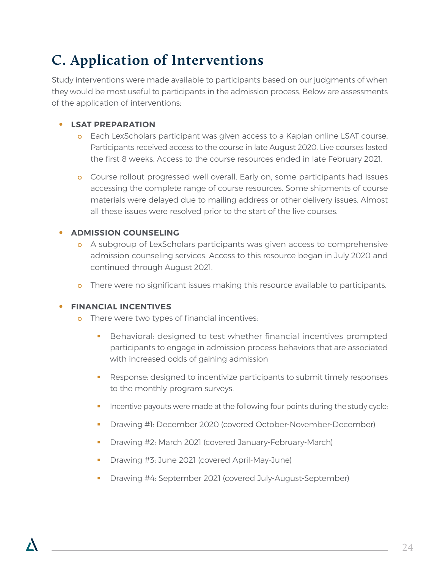## **C. Application of Interventions**

Study interventions were made available to participants based on our judgments of when they would be most useful to participants in the admission process. Below are assessments of the application of interventions:

### **• LSAT PREPARATION**

- o Each LexScholars participant was given access to a Kaplan online LSAT course. Participants received access to the course in late August 2020. Live courses lasted the first 8 weeks. Access to the course resources ended in late February 2021.
- **o** Course rollout progressed well overall. Early on, some participants had issues accessing the complete range of course resources. Some shipments of course materials were delayed due to mailing address or other delivery issues. Almost all these issues were resolved prior to the start of the live courses.

### **• ADMISSION COUNSELING**

- o A subgroup of LexScholars participants was given access to comprehensive admission counseling services. Access to this resource began in July 2020 and continued through August 2021.
- o There were no significant issues making this resource available to participants.

#### **• FINANCIAL INCENTIVES**

- **o** There were two types of financial incentives:
	- Behavioral: designed to test whether financial incentives prompted participants to engage in admission process behaviors that are associated with increased odds of gaining admission
	- **Response: designed to incentivize participants to submit timely responses** to the monthly program surveys.
	- Incentive payouts were made at the following four points during the study cycle:
	- Drawing #1: December 2020 (covered October-November-December)
	- Drawing #2: March 2021 (covered January-February-March)
	- Drawing #3: June 2021 (covered April-May-June)
	- Drawing #4: September 2021 (covered July-August-September)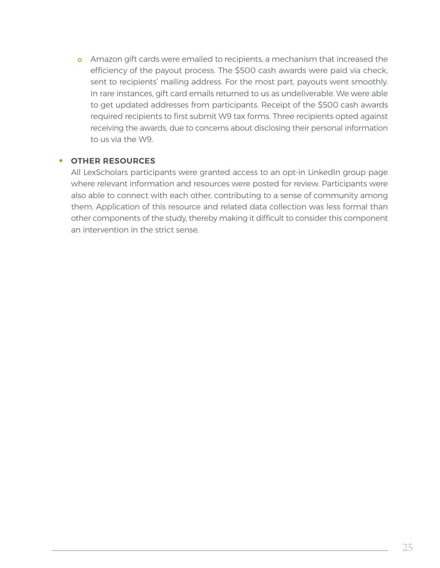o Amazon gift cards were emailed to recipients, a mechanism that increased the efficiency of the payout process. The \$500 cash awards were paid via check, sent to recipients' mailing address. For the most part, payouts went smoothly. In rare instances, gift card emails returned to us as undeliverable. We were able to get updated addresses from participants. Receipt of the \$500 cash awards required recipients to first submit W9 tax forms. Three recipients opted against receiving the awards, due to concerns about disclosing their personal information to us via the W9.

#### **• OTHER RESOURCES**

All LexScholars participants were granted access to an opt-in LinkedIn group page where relevant information and resources were posted for review. Participants were also able to connect with each other, contributing to a sense of community among them. Application of this resource and related data collection was less formal than other components of the study, thereby making it difficult to consider this component an intervention in the strict sense.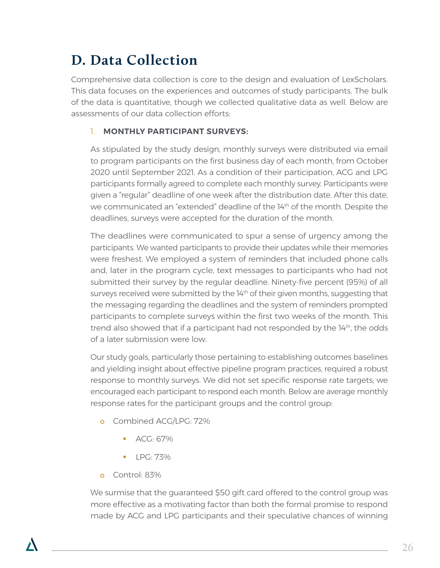### **D. Data Collection**

Comprehensive data collection is core to the design and evaluation of LexScholars. This data focuses on the experiences and outcomes of study participants. The bulk of the data is quantitative, though we collected qualitative data as well. Below are assessments of our data collection efforts:

### 1. **MONTHLY PARTICIPANT SURVEYS:**

As stipulated by the study design, monthly surveys were distributed via email to program participants on the first business day of each month, from October 2020 until September 2021. As a condition of their participation, ACG and LPG participants formally agreed to complete each monthly survey. Participants were given a "regular" deadline of one week after the distribution date. After this date, we communicated an "extended" deadline of the 14th of the month. Despite the deadlines, surveys were accepted for the duration of the month.

The deadlines were communicated to spur a sense of urgency among the participants. We wanted participants to provide their updates while their memories were freshest. We employed a system of reminders that included phone calls and, later in the program cycle, text messages to participants who had not submitted their survey by the regular deadline. Ninety-five percent (95%) of all surveys received were submitted by the  $14<sup>th</sup>$  of their given months, suggesting that the messaging regarding the deadlines and the system of reminders prompted participants to complete surveys within the first two weeks of the month. This trend also showed that if a participant had not responded by the 14<sup>th</sup>, the odds of a later submission were low.

Our study goals, particularly those pertaining to establishing outcomes baselines and yielding insight about effective pipeline program practices, required a robust response to monthly surveys. We did not set specific response rate targets; we encouraged each participant to respond each month. Below are average monthly response rates for the participant groups and the control group:

- o Combined ACG/LPG: 72%
	- ACG: 67%
	- LPG: 73%
- o Control: 83%

We surmise that the guaranteed \$50 gift card offered to the control group was more effective as a motivating factor than both the formal promise to respond made by ACG and LPG participants and their speculative chances of winning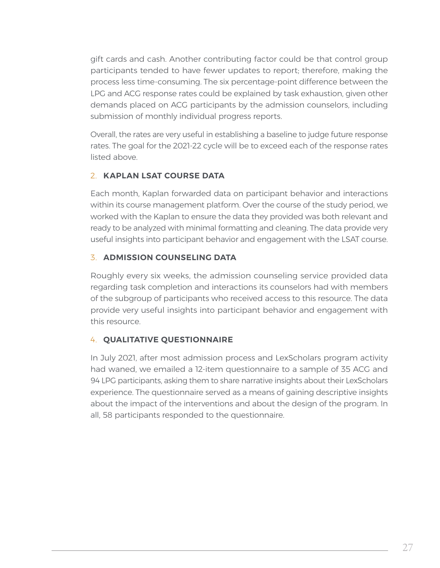gift cards and cash. Another contributing factor could be that control group participants tended to have fewer updates to report; therefore, making the process less time-consuming. The six percentage-point difference between the LPG and ACG response rates could be explained by task exhaustion, given other demands placed on ACG participants by the admission counselors, including submission of monthly individual progress reports.

Overall, the rates are very useful in establishing a baseline to judge future response rates. The goal for the 2021-22 cycle will be to exceed each of the response rates listed above.

### 2. **KAPLAN LSAT COURSE DATA**

Each month, Kaplan forwarded data on participant behavior and interactions within its course management platform. Over the course of the study period, we worked with the Kaplan to ensure the data they provided was both relevant and ready to be analyzed with minimal formatting and cleaning. The data provide very useful insights into participant behavior and engagement with the LSAT course.

### 3. **ADMISSION COUNSELING DATA**

Roughly every six weeks, the admission counseling service provided data regarding task completion and interactions its counselors had with members of the subgroup of participants who received access to this resource. The data provide very useful insights into participant behavior and engagement with this resource.

#### 4. **QUALITATIVE QUESTIONNAIRE**

In July 2021, after most admission process and LexScholars program activity had waned, we emailed a 12-item questionnaire to a sample of 35 ACG and 94 LPG participants, asking them to share narrative insights about their LexScholars experience. The questionnaire served as a means of gaining descriptive insights about the impact of the interventions and about the design of the program. In all, 58 participants responded to the questionnaire.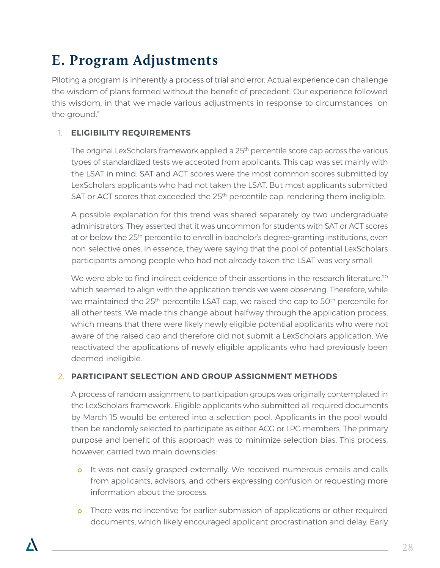### **E. Program Adjustments**

Piloting a program is inherently a process of trial and error. Actual experience can challenge the wisdom of plans formed without the benefit of precedent. Our experience followed this wisdom, in that we made various adjustments in response to circumstances "on the ground."

### 1. **ELIGIBILITY REQUIREMENTS**

The original LexScholars framework applied a  $25<sup>th</sup>$  percentile score cap across the various types of standardized tests we accepted from applicants. This cap was set mainly with the LSAT in mind. SAT and ACT scores were the most common scores submitted by LexScholars applicants who had not taken the LSAT. But most applicants submitted SAT or ACT scores that exceeded the 25<sup>th</sup> percentile cap, rendering them ineligible.

A possible explanation for this trend was shared separately by two undergraduate administrators. They asserted that it was uncommon for students with SAT or ACT scores at or below the 25th percentile to enroll in bachelor's degree-granting institutions, even non-selective ones. In essence, they were saying that the pool of potential LexScholars participants among people who had not already taken the LSAT was very small.

We were able to find indirect evidence of their assertions in the research literature,<sup>20</sup> which seemed to align with the application trends we were observing. Therefore, while we maintained the 25<sup>th</sup> percentile LSAT cap, we raised the cap to 50<sup>th</sup> percentile for all other tests. We made this change about halfway through the application process, which means that there were likely newly eligible potential applicants who were not aware of the raised cap and therefore did not submit a LexScholars application. We reactivated the applications of newly eligible applicants who had previously been deemed ineligible.

### 2. **PARTICIPANT SELECTION AND GROUP ASSIGNMENT METHODS**

A process of random assignment to participation groups was originally contemplated in the LexScholars framework. Eligible applicants who submitted all required documents by March 15 would be entered into a selection pool. Applicants in the pool would then be randomly selected to participate as either ACG or LPG members. The primary purpose and benefit of this approach was to minimize selection bias. This process, however, carried two main downsides:

- o It was not easily grasped externally. We received numerous emails and calls from applicants, advisors, and others expressing confusion or requesting more information about the process.
- o There was no incentive for earlier submission of applications or other required documents, which likely encouraged applicant procrastination and delay. Early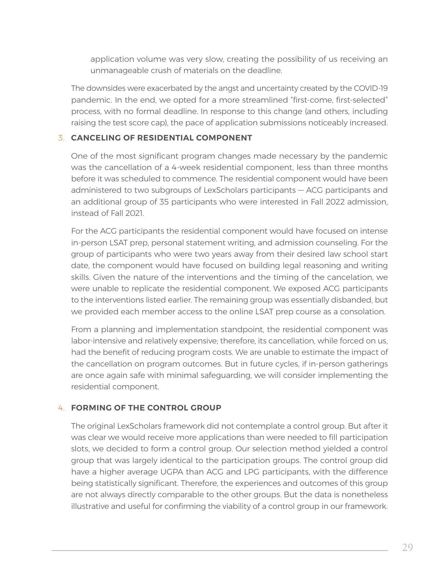application volume was very slow, creating the possibility of us receiving an unmanageable crush of materials on the deadline.

The downsides were exacerbated by the angst and uncertainty created by the COVID-19 pandemic. In the end, we opted for a more streamlined "first-come, first-selected" process, with no formal deadline. In response to this change (and others, including raising the test score cap), the pace of application submissions noticeably increased.

### 3. **CANCELING OF RESIDENTIAL COMPONENT**

One of the most significant program changes made necessary by the pandemic was the cancellation of a 4-week residential component, less than three months before it was scheduled to commence. The residential component would have been administered to two subgroups of LexScholars participants — ACG participants and an additional group of 35 participants who were interested in Fall 2022 admission, instead of Fall 2021.

For the ACG participants the residential component would have focused on intense in-person LSAT prep, personal statement writing, and admission counseling. For the group of participants who were two years away from their desired law school start date, the component would have focused on building legal reasoning and writing skills. Given the nature of the interventions and the timing of the cancelation, we were unable to replicate the residential component. We exposed ACG participants to the interventions listed earlier. The remaining group was essentially disbanded, but we provided each member access to the online LSAT prep course as a consolation.

From a planning and implementation standpoint, the residential component was labor-intensive and relatively expensive; therefore, its cancellation, while forced on us, had the benefit of reducing program costs. We are unable to estimate the impact of the cancellation on program outcomes. But in future cycles, if in-person gatherings are once again safe with minimal safeguarding, we will consider implementing the residential component.

#### 4. **FORMING OF THE CONTROL GROUP**

The original LexScholars framework did not contemplate a control group. But after it was clear we would receive more applications than were needed to fill participation slots, we decided to form a control group. Our selection method yielded a control group that was largely identical to the participation groups. The control group did have a higher average UGPA than ACG and LPG participants, with the difference being statistically significant. Therefore, the experiences and outcomes of this group are not always directly comparable to the other groups. But the data is nonetheless illustrative and useful for confirming the viability of a control group in our framework.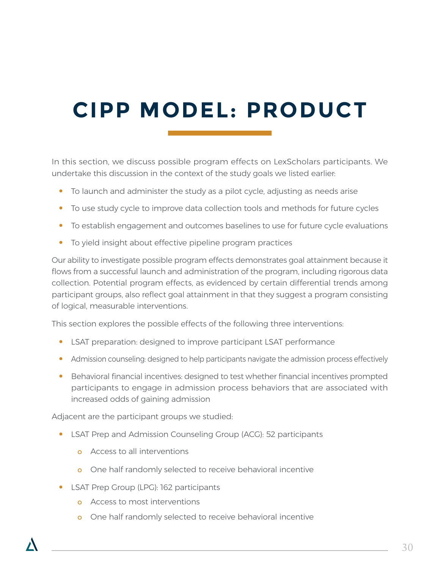# **CIPP MODEL: PRODUCT**

In this section, we discuss possible program effects on LexScholars participants. We undertake this discussion in the context of the study goals we listed earlier:

- **•** To launch and administer the study as a pilot cycle, adjusting as needs arise
- **•** To use study cycle to improve data collection tools and methods for future cycles
- **•** To establish engagement and outcomes baselines to use for future cycle evaluations
- **•** To yield insight about effective pipeline program practices

Our ability to investigate possible program effects demonstrates goal attainment because it flows from a successful launch and administration of the program, including rigorous data collection. Potential program effects, as evidenced by certain differential trends among participant groups, also reflect goal attainment in that they suggest a program consisting of logical, measurable interventions.

This section explores the possible effects of the following three interventions:

- **•** LSAT preparation: designed to improve participant LSAT performance
- Admission counseling: designed to help participants navigate the admission process effectively
- **•** Behavioral financial incentives: designed to test whether financial incentives prompted participants to engage in admission process behaviors that are associated with increased odds of gaining admission

Adjacent are the participant groups we studied:

- **•** LSAT Prep and Admission Counseling Group (ACG): 52 participants
	- o Access to all interventions
	- o One half randomly selected to receive behavioral incentive
- **•** LSAT Prep Group (LPG): 162 participants
	- o Access to most interventions
	- o One half randomly selected to receive behavioral incentive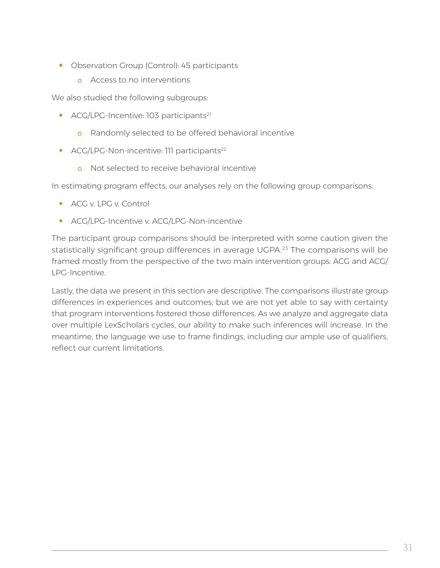- **•** Observation Group (Control): 45 participants
	- o Access to no interventions

We also studied the following subgroups:

- ACG/LPG-Incentive: 103 participants<sup>21</sup>
	- **o** Randomly selected to be offered behavioral incentive
- ACG/LPG-Non-incentive: 111 participants<sup>22</sup>
	- o Not selected to receive behavioral incentive

In estimating program effects, our analyses rely on the following group comparisons:

- **•** ACG v. LPG v. Control
- **•** ACG/LPG-Incentive v. ACG/LPG-Non-incentive

The participant group comparisons should be interpreted with some caution given the statistically significant group differences in average UGPA.23 The comparisons will be framed mostly from the perspective of the two main intervention groups: ACG and ACG/ LPG-Incentive.

Lastly, the data we present in this section are descriptive. The comparisons illustrate group differences in experiences and outcomes; but we are not yet able to say with certainty that program interventions fostered those differences. As we analyze and aggregate data over multiple LexScholars cycles, our ability to make such inferences will increase. In the meantime, the language we use to frame findings, including our ample use of qualifiers, reflect our current limitations.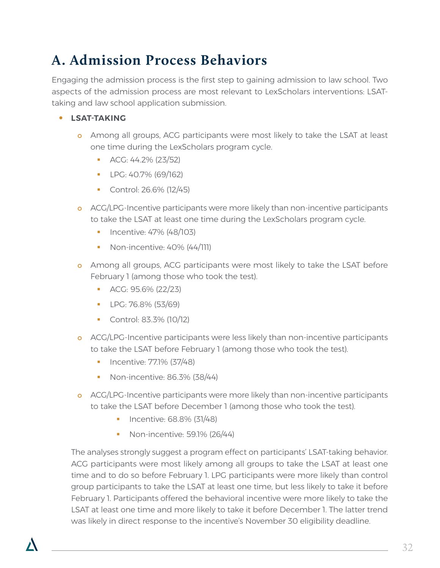### **A. Admission Process Behaviors**

Engaging the admission process is the first step to gaining admission to law school. Two aspects of the admission process are most relevant to LexScholars interventions: LSATtaking and law school application submission.

### **• LSAT-TAKING**

- o Among all groups, ACG participants were most likely to take the LSAT at least one time during the LexScholars program cycle.
	- **ACG: 44.2% (23/52)**
	- **LPG: 40.7% (69/162)**
	- Control: 26.6% (12/45)
- o ACG/LPG-Incentive participants were more likely than non-incentive participants to take the LSAT at least one time during the LexScholars program cycle.
	- $\blacksquare$  Incentive: 47% (48/103)
	- Non-incentive: 40% (44/111)
- o Among all groups, ACG participants were most likely to take the LSAT before February 1 (among those who took the test).
	- $ACG: 95.6\% (22/23)$
	- LPG: 76.8% (53/69)
	- Control: 83.3% (10/12)
- o ACG/LPG-Incentive participants were less likely than non-incentive participants to take the LSAT before February 1 (among those who took the test).
	- **Incentive: 77.1% (37/48)**
	- Non-incentive: 86.3% (38/44)
- o ACG/LPG-Incentive participants were more likely than non-incentive participants to take the LSAT before December 1 (among those who took the test).
	- Incentive: 68.8% (31/48)
	- Non-incentive: 59.1% (26/44)

The analyses strongly suggest a program effect on participants' LSAT-taking behavior. ACG participants were most likely among all groups to take the LSAT at least one time and to do so before February 1. LPG participants were more likely than control group participants to take the LSAT at least one time, but less likely to take it before February 1. Participants offered the behavioral incentive were more likely to take the LSAT at least one time and more likely to take it before December 1. The latter trend was likely in direct response to the incentive's November 30 eligibility deadline.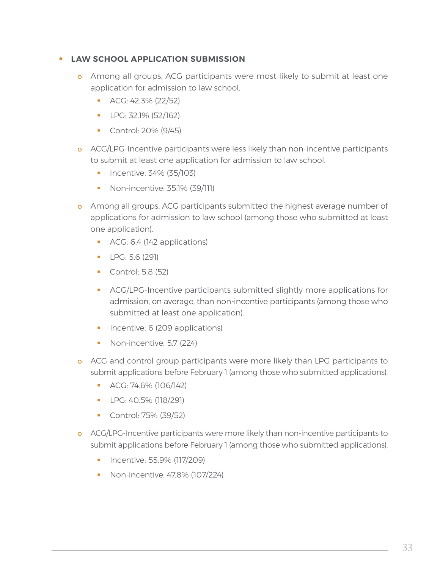#### **• LAW SCHOOL APPLICATION SUBMISSION**

- o Among all groups, ACG participants were most likely to submit at least one application for admission to law school.
	- $ACG: 42.3\% (22/52)$
	- $LPG: 32.1\% (52/162)$
	- **Control: 20% (9/45)**
- o ACG/LPG-Incentive participants were less likely than non-incentive participants to submit at least one application for admission to law school.
	- $\blacksquare$  Incentive: 34% (35/103)
	- Non-incentive: 35.1% (39/111)
- o Among all groups, ACG participants submitted the highest average number of applications for admission to law school (among those who submitted at least one application).
	- ACG: 6.4 (142 applications)
	- **LPG: 5.6 (291)**
	- **Control: 5.8 (52)**
	- ACG/LPG-Incentive participants submitted slightly more applications for admission, on average, than non-incentive participants (among those who submitted at least one application).
	- **Incentive: 6 (209 applications)**
	- Non-incentive: 5.7 (224)
- o ACG and control group participants were more likely than LPG participants to submit applications before February 1 (among those who submitted applications).
	- **ACG: 74.6% (106/142)**
	- **LPG: 40.5% (118/291)**
	- Control: 75% (39/52)
- o ACG/LPG-Incentive participants were more likely than non-incentive participants to submit applications before February 1 (among those who submitted applications).
	- **Incentive: 55.9% (117/209)**
	- **Non-incentive: 47.8% (107/224)**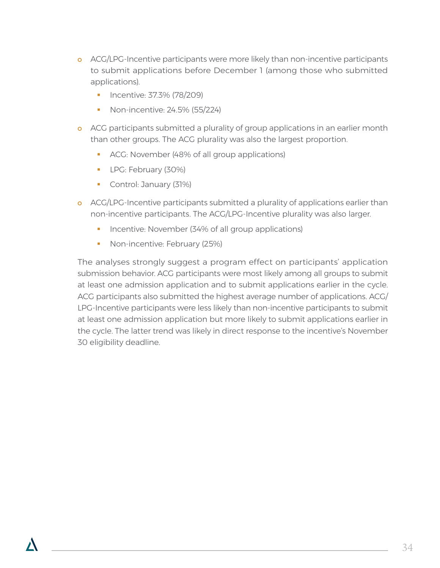- o ACG/LPG-Incentive participants were more likely than non-incentive participants to submit applications before December 1 (among those who submitted applications).
	- **Incentive: 37.3% (78/209)**
	- Non-incentive: 24.5% (55/224)
- o ACG participants submitted a plurality of group applications in an earlier month than other groups. The ACG plurality was also the largest proportion.
	- ACG: November (48% of all group applications)
	- **LPG: February (30%)**
	- Control: January (31%)
- o ACG/LPG-Incentive participants submitted a plurality of applications earlier than non-incentive participants. The ACG/LPG-Incentive plurality was also larger.
	- Incentive: November (34% of all group applications)
	- Non-incentive: February (25%)

The analyses strongly suggest a program effect on participants' application submission behavior. ACG participants were most likely among all groups to submit at least one admission application and to submit applications earlier in the cycle. ACG participants also submitted the highest average number of applications. ACG/ LPG-Incentive participants were less likely than non-incentive participants to submit at least one admission application but more likely to submit applications earlier in the cycle. The latter trend was likely in direct response to the incentive's November 30 eligibility deadline.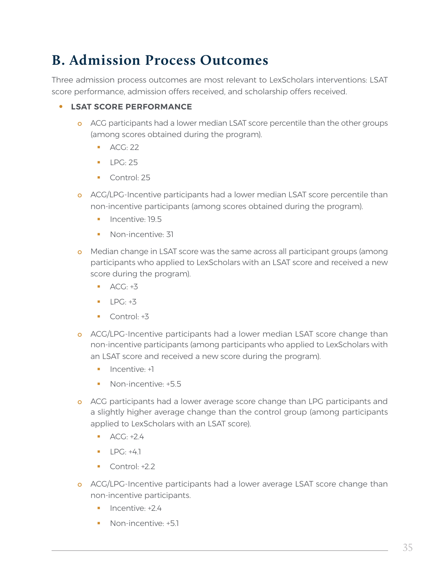### **B. Admission Process Outcomes**

Three admission process outcomes are most relevant to LexScholars interventions: LSAT score performance, admission offers received, and scholarship offers received.

### **• LSAT SCORE PERFORMANCE**

- o ACG participants had a lower median LSAT score percentile than the other groups (among scores obtained during the program).
	- $ACG: 22$
	- $\blacksquare$  LPG: 25
	- Control: 25
- o ACG/LPG-Incentive participants had a lower median LSAT score percentile than non-incentive participants (among scores obtained during the program).
	- $\blacksquare$  Incentive: 19.5
	- Non-incentive: 31
- o Median change in LSAT score was the same across all participant groups (among participants who applied to LexScholars with an LSAT score and received a new score during the program).
	- $\overline{ACG}$ : +3
	- $\blacksquare$   $\blacksquare$   $\blacksquare$   $\blacksquare$   $\blacksquare$   $\blacksquare$   $\blacksquare$   $\blacksquare$
	- $\blacksquare$  Control:  $+3$
- o ACG/LPG-Incentive participants had a lower median LSAT score change than non-incentive participants (among participants who applied to LexScholars with an LSAT score and received a new score during the program).
	- $\blacksquare$  Incentive:  $+1$
	- Non-incentive: +5.5
- o ACG participants had a lower average score change than LPG participants and a slightly higher average change than the control group (among participants applied to LexScholars with an LSAT score).
	- $\overline{ACG}$ : +2.4
	- $\blacksquare$   $\blacksquare$   $\blacksquare$   $\blacksquare$   $\blacksquare$   $\blacksquare$   $\blacksquare$   $\blacksquare$
	- $\blacksquare$  Control: +2.2
- o ACG/LPG-Incentive participants had a lower average LSAT score change than non-incentive participants.
	- $\blacksquare$  Incentive:  $+2.4$
	- Non-incentive: +51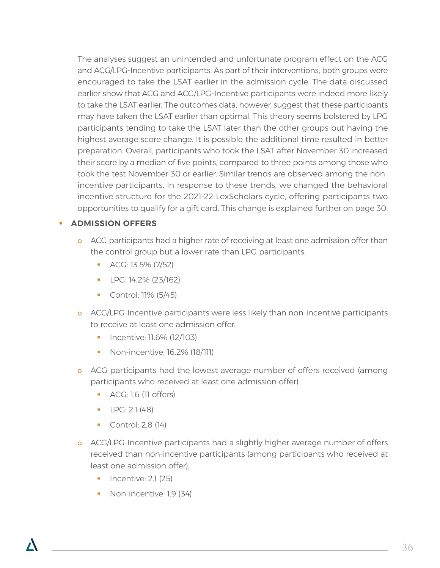The analyses suggest an unintended and unfortunate program effect on the ACG and ACG/LPG-Incentive participants. As part of their interventions, both groups were encouraged to take the LSAT earlier in the admission cycle. The data discussed earlier show that ACG and ACG/LPG-Incentive participants were indeed more likely to take the LSAT earlier. The outcomes data, however, suggest that these participants may have taken the LSAT earlier than optimal. This theory seems bolstered by LPG participants tending to take the LSAT later than the other groups but having the highest average score change. It is possible the additional time resulted in better preparation. Overall, participants who took the LSAT after November 30 increased their score by a median of five points, compared to three points among those who took the test November 30 or earlier. Similar trends are observed among the nonincentive participants. In response to these trends, we changed the behavioral incentive structure for the 2021-22 LexScholars cycle, offering participants two opportunities to qualify for a gift card. This change is explained further on page 30.

### **• ADMISSION OFFERS**

- o ACG participants had a higher rate of receiving at least one admission offer than the control group but a lower rate than LPG participants.
	- $\blacksquare$  ACG: 13.5% (7/52)
	- **LPG: 14.2% (23/162)**
	- Control: 11% (5/45)
- o ACG/LPG-Incentive participants were less likely than non-incentive participants to receive at least one admission offer.
	- **Incentive: 11.6% (12/103)**
	- **Non-incentive: 16.2% (18/111)**
- o ACG participants had the lowest average number of offers received (among participants who received at least one admission offer).
	- ACG: 1.6 (11 offers)
	- $LPC: 2.1 (48)$
	- Control: 2.8 (14)
- o ACG/LPG-Incentive participants had a slightly higher average number of offers received than non-incentive participants (among participants who received at least one admission offer).
	- Incentive: 2.1 (25)
	- Non-incentive: 1.9 (34)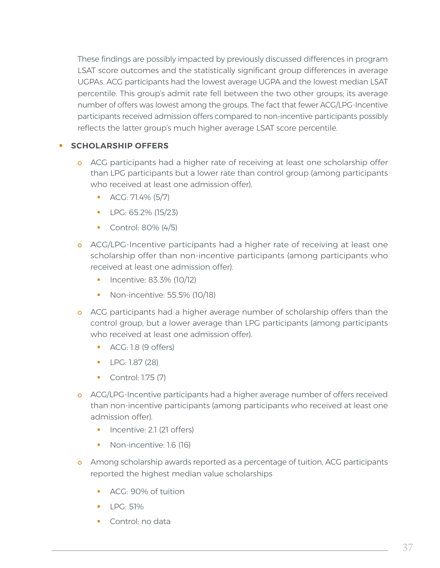These findings are possibly impacted by previously discussed differences in program LSAT score outcomes and the statistically significant group differences in average UGPAs. ACG participants had the lowest average UGPA and the lowest median LSAT percentile. This group's admit rate fell between the two other groups; its average number of offers was lowest among the groups. The fact that fewer ACG/LPG-Incentive participants received admission offers compared to non-incentive participants possibly reflects the latter group's much higher average LSAT score percentile.

### **• SCHOLARSHIP OFFERS**

- o ACG participants had a higher rate of receiving at least one scholarship offer than LPG participants but a lower rate than control group (among participants who received at least one admission offer).
	- $\blacksquare$  ACG: 71.4% (5/7)
	- $LPG: 65.2\% (15/23)$
	- **Control: 80% (4/5)**
- o ACG/LPG-Incentive participants had a higher rate of receiving at least one scholarship offer than non-incentive participants (among participants who received at least one admission offer).
	- $\blacksquare$  Incentive: 83.3% (10/12)
	- Non-incentive: 55.5% (10/18)
- o ACG participants had a higher average number of scholarship offers than the control group, but a lower average than LPG participants (among participants who received at least one admission offer).
	- ACG: 1.8 (9 offers)
	- **LPG: 1.87 (28)**
	- **Control: 1.75 (7)**
- o ACG/LPG-Incentive participants had a higher average number of offers received than non-incentive participants (among participants who received at least one admission offer).
	- Incentive: 2.1 (21 offers)
	- Non-incentive: 1.6 (16)
- o Among scholarship awards reported as a percentage of tuition, ACG participants reported the highest median value scholarships
	- **ACG: 90% of tuition**
	- $\blacksquare$  I PG: 51%
	- **Control: no data**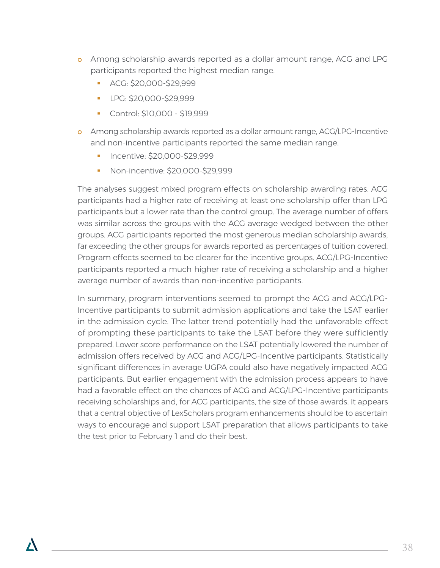- o Among scholarship awards reported as a dollar amount range, ACG and LPG participants reported the highest median range.
	- ACG: \$20,000-\$29,999
	- LPG: \$20,000-\$29,999
	- Control: \$10,000 \$19,999
- o Among scholarship awards reported as a dollar amount range, ACG/LPG-Incentive and non-incentive participants reported the same median range.
	- **Incentive: \$20,000-\$29,999**
	- Non-incentive: \$20,000-\$29,999

The analyses suggest mixed program effects on scholarship awarding rates. ACG participants had a higher rate of receiving at least one scholarship offer than LPG participants but a lower rate than the control group. The average number of offers was similar across the groups with the ACG average wedged between the other groups. ACG participants reported the most generous median scholarship awards, far exceeding the other groups for awards reported as percentages of tuition covered. Program effects seemed to be clearer for the incentive groups. ACG/LPG-Incentive participants reported a much higher rate of receiving a scholarship and a higher average number of awards than non-incentive participants.

In summary, program interventions seemed to prompt the ACG and ACG/LPG-Incentive participants to submit admission applications and take the LSAT earlier in the admission cycle. The latter trend potentially had the unfavorable effect of prompting these participants to take the LSAT before they were sufficiently prepared. Lower score performance on the LSAT potentially lowered the number of admission offers received by ACG and ACG/LPG-Incentive participants. Statistically significant differences in average UGPA could also have negatively impacted ACG participants. But earlier engagement with the admission process appears to have had a favorable effect on the chances of ACG and ACG/LPG-Incentive participants receiving scholarships and, for ACG participants, the size of those awards. It appears that a central objective of LexScholars program enhancements should be to ascertain ways to encourage and support LSAT preparation that allows participants to take the test prior to February 1 and do their best.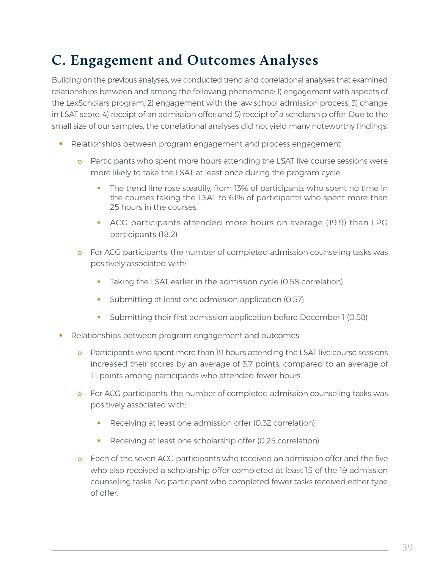### **C. Engagement and Outcomes Analyses**

Building on the previous analyses, we conducted trend and correlational analyses that examined relationships between and among the following phenomena: 1) engagement with aspects of the LexScholars program; 2) engagement with the law school admission process; 3) change in LSAT score; 4) receipt of an admission offer; and 5) receipt of a scholarship offer. Due to the small size of our samples, the correlational analyses did not yield many noteworthy findings.

- **•** Relationships between program engagement and process engagement
	- o Participants who spent more hours attending the LSAT live course sessions were more likely to take the LSAT at least once during the program cycle.
		- The trend line rose steadily, from 13% of participants who spent no time in the courses taking the LSAT to 61% of participants who spent more than 25 hours in the courses.
		- ACG participants attended more hours on average (19.9) than LPG participants (18.2).
	- o For ACG participants, the number of completed admission counseling tasks was positively associated with:
		- Taking the LSAT earlier in the admission cycle (0.58 correlation)
		- **Submitting at least one admission application (0.57)**
		- Submitting their first admission application before December 1 (0.58)
- **•** Relationships between program engagement and outcomes
	- o Participants who spent more than 19 hours attending the LSAT live course sessions increased their scores by an average of 3.7 points, compared to an average of 1.1 points among participants who attended fewer hours.
	- o For ACG participants, the number of completed admission counseling tasks was positively associated with:
		- Receiving at least one admission offer (0.32 correlation)
		- Receiving at least one scholarship offer (0.25 correlation)
	- o Each of the seven ACG participants who received an admission offer and the five who also received a scholarship offer completed at least 15 of the 19 admission counseling tasks. No participant who completed fewer tasks received either type of offer.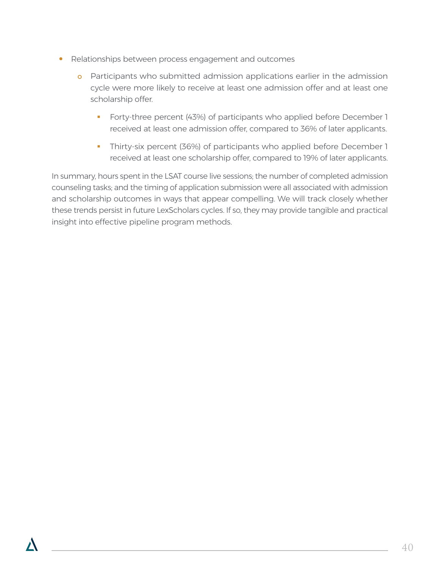- **•** Relationships between process engagement and outcomes
	- o Participants who submitted admission applications earlier in the admission cycle were more likely to receive at least one admission offer and at least one scholarship offer.
		- **Forty-three percent (43%) of participants who applied before December 1** received at least one admission offer, compared to 36% of later applicants.
		- Thirty-six percent (36%) of participants who applied before December 1 received at least one scholarship offer, compared to 19% of later applicants.

In summary, hours spent in the LSAT course live sessions; the number of completed admission counseling tasks; and the timing of application submission were all associated with admission and scholarship outcomes in ways that appear compelling. We will track closely whether these trends persist in future LexScholars cycles. If so, they may provide tangible and practical insight into effective pipeline program methods.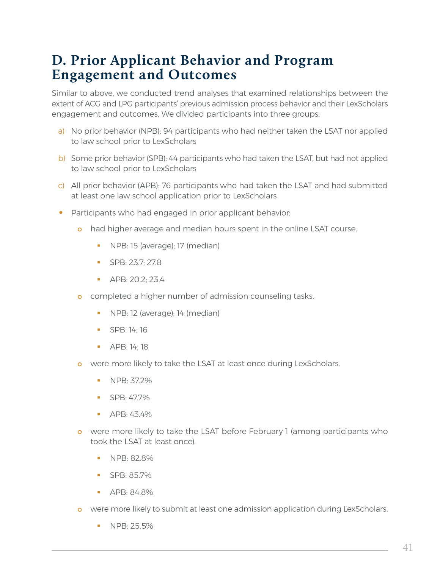### **D. Prior Applicant Behavior and Program Engagement and Outcomes**

Similar to above, we conducted trend analyses that examined relationships between the extent of ACG and LPG participants' previous admission process behavior and their LexScholars engagement and outcomes. We divided participants into three groups:

- a) No prior behavior (NPB): 94 participants who had neither taken the LSAT nor applied to law school prior to LexScholars
- b) Some prior behavior (SPB): 44 participants who had taken the LSAT, but had not applied to law school prior to LexScholars
- c) All prior behavior (APB): 76 participants who had taken the LSAT and had submitted at least one law school application prior to LexScholars
- **•** Participants who had engaged in prior applicant behavior:
	- o had higher average and median hours spent in the online LSAT course.
		- **NPB: 15 (average); 17 (median)**
		- SPB: 23.7: 27.8
		- APB: 20.2: 23.4
	- o completed a higher number of admission counseling tasks.
		- NPB: 12 (average); 14 (median)
		- SPB: 14; 16
		- **APB: 14; 18**
	- o were more likely to take the LSAT at least once during LexScholars.
		- **NPB: 37.2%**
		- SPB: 47.7%
		- $\blacksquare$  APB: 43.4%
	- o were more likely to take the LSAT before February 1 (among participants who took the LSAT at least once).
		- **NPB: 82.8%**
		- $SPR: 85.7\%$
		- **APB: 84.8%**
	- o were more likely to submit at least one admission application during LexScholars.
		- $NPR: 25.5\%$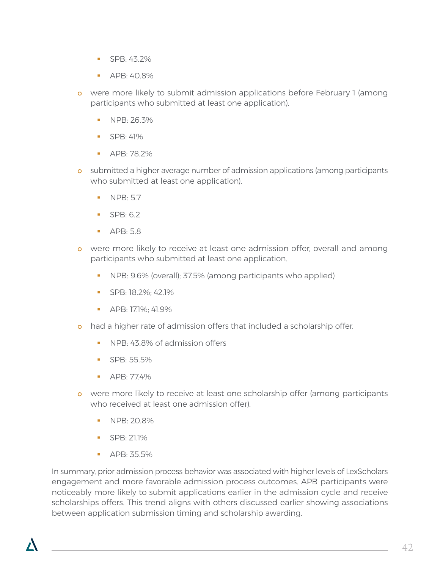- $SPR: 43.2\%$
- APB: 40.8%
- o were more likely to submit admission applications before February 1 (among participants who submitted at least one application).
	- NPB: 26.3%
	- $\blacksquare$  SPB: 41%
	- APB: 78.2%
- o submitted a higher average number of admission applications (among participants who submitted at least one application).
	- $NPR: 5.7$
	- $SPB·62$
	- APB: 5.8
- o were more likely to receive at least one admission offer, overall and among participants who submitted at least one application.
	- **NPB: 9.6% (overall); 37.5% (among participants who applied)**
	- SPB: 18.2%; 42.1%
	- APB: 17.1%; 41.9%
- o had a higher rate of admission offers that included a scholarship offer.
	- NPB: 43.8% of admission offers
	- SPB: 55.5%
	- $\blacksquare$  APB: 77.4%
- o were more likely to receive at least one scholarship offer (among participants who received at least one admission offer).
	- NPB: 20.8%
	- $SPR: 21.1\%$
	- APB: 35.5%

In summary, prior admission process behavior was associated with higher levels of LexScholars engagement and more favorable admission process outcomes. APB participants were noticeably more likely to submit applications earlier in the admission cycle and receive scholarships offers. This trend aligns with others discussed earlier showing associations between application submission timing and scholarship awarding.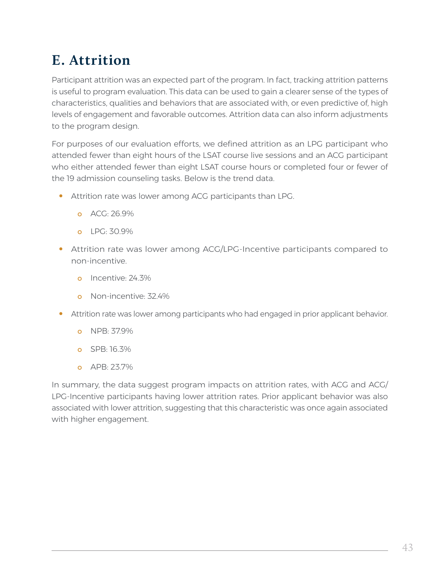## **E. Attrition**

Participant attrition was an expected part of the program. In fact, tracking attrition patterns is useful to program evaluation. This data can be used to gain a clearer sense of the types of characteristics, qualities and behaviors that are associated with, or even predictive of, high levels of engagement and favorable outcomes. Attrition data can also inform adjustments to the program design.

For purposes of our evaluation efforts, we defined attrition as an LPG participant who attended fewer than eight hours of the LSAT course live sessions and an ACG participant who either attended fewer than eight LSAT course hours or completed four or fewer of the 19 admission counseling tasks. Below is the trend data.

- **•** Attrition rate was lower among ACG participants than LPG.
	- o ACG: 26.9%
	- $O = IPC·30.9%$
- **•** Attrition rate was lower among ACG/LPG-Incentive participants compared to non-incentive.
	- o Incentive: 24.3%
	- o Non-incentive: 32.4%
- **•** Attrition rate was lower among participants who had engaged in prior applicant behavior.
	- o NPB: 37.9%
	- o SPB: 16.3%
	- o APB: 23.7%

In summary, the data suggest program impacts on attrition rates, with ACG and ACG/ LPG-Incentive participants having lower attrition rates. Prior applicant behavior was also associated with lower attrition, suggesting that this characteristic was once again associated with higher engagement.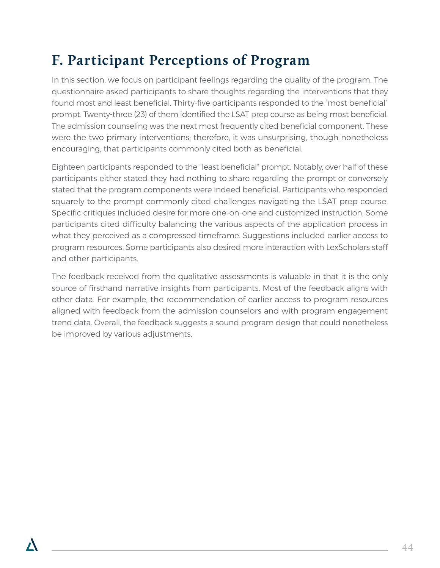## **F. Participant Perceptions of Program**

In this section, we focus on participant feelings regarding the quality of the program. The questionnaire asked participants to share thoughts regarding the interventions that they found most and least beneficial. Thirty-five participants responded to the "most beneficial" prompt. Twenty-three (23) of them identified the LSAT prep course as being most beneficial. The admission counseling was the next most frequently cited beneficial component. These were the two primary interventions; therefore, it was unsurprising, though nonetheless encouraging, that participants commonly cited both as beneficial.

Eighteen participants responded to the "least beneficial" prompt. Notably, over half of these participants either stated they had nothing to share regarding the prompt or conversely stated that the program components were indeed beneficial. Participants who responded squarely to the prompt commonly cited challenges navigating the LSAT prep course. Specific critiques included desire for more one-on-one and customized instruction. Some participants cited difficulty balancing the various aspects of the application process in what they perceived as a compressed timeframe. Suggestions included earlier access to program resources. Some participants also desired more interaction with LexScholars staff and other participants.

The feedback received from the qualitative assessments is valuable in that it is the only source of firsthand narrative insights from participants. Most of the feedback aligns with other data. For example, the recommendation of earlier access to program resources aligned with feedback from the admission counselors and with program engagement trend data. Overall, the feedback suggests a sound program design that could nonetheless be improved by various adjustments.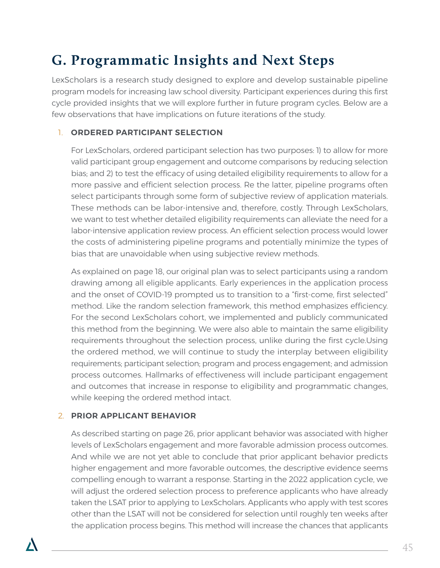### **G. Programmatic Insights and Next Steps**

LexScholars is a research study designed to explore and develop sustainable pipeline program models for increasing law school diversity. Participant experiences during this first cycle provided insights that we will explore further in future program cycles. Below are a few observations that have implications on future iterations of the study.

### 1. **ORDERED PARTICIPANT SELECTION**

For LexScholars, ordered participant selection has two purposes: 1) to allow for more valid participant group engagement and outcome comparisons by reducing selection bias; and 2) to test the efficacy of using detailed eligibility requirements to allow for a more passive and efficient selection process. Re the latter, pipeline programs often select participants through some form of subjective review of application materials. These methods can be labor-intensive and, therefore, costly. Through LexScholars, we want to test whether detailed eligibility requirements can alleviate the need for a labor-intensive application review process. An efficient selection process would lower the costs of administering pipeline programs and potentially minimize the types of bias that are unavoidable when using subjective review methods.

As explained on page 18, our original plan was to select participants using a random drawing among all eligible applicants. Early experiences in the application process and the onset of COVID-19 prompted us to transition to a "first-come, first selected" method. Like the random selection framework, this method emphasizes efficiency. For the second LexScholars cohort, we implemented and publicly communicated this method from the beginning. We were also able to maintain the same eligibility requirements throughout the selection process, unlike during the first cycle.Using the ordered method, we will continue to study the interplay between eligibility requirements; participant selection; program and process engagement; and admission process outcomes. Hallmarks of effectiveness will include participant engagement and outcomes that increase in response to eligibility and programmatic changes, while keeping the ordered method intact.

### 2. **PRIOR APPLICANT BEHAVIOR**

As described starting on page 26, prior applicant behavior was associated with higher levels of LexScholars engagement and more favorable admission process outcomes. And while we are not yet able to conclude that prior applicant behavior predicts higher engagement and more favorable outcomes, the descriptive evidence seems compelling enough to warrant a response. Starting in the 2022 application cycle, we will adjust the ordered selection process to preference applicants who have already taken the LSAT prior to applying to LexScholars. Applicants who apply with test scores other than the LSAT will not be considered for selection until roughly ten weeks after the application process begins. This method will increase the chances that applicants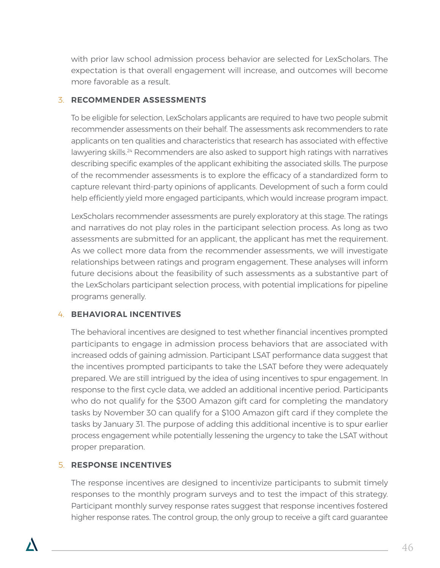with prior law school admission process behavior are selected for LexScholars. The expectation is that overall engagement will increase, and outcomes will become more favorable as a result.

### 3. **RECOMMENDER ASSESSMENTS**

To be eligible for selection, LexScholars applicants are required to have two people submit recommender assessments on their behalf. The assessments ask recommenders to rate applicants on ten qualities and characteristics that research has associated with effective lawyering skills.<sup>24</sup> Recommenders are also asked to support high ratings with narratives describing specific examples of the applicant exhibiting the associated skills. The purpose of the recommender assessments is to explore the efficacy of a standardized form to capture relevant third-party opinions of applicants. Development of such a form could help efficiently yield more engaged participants, which would increase program impact.

LexScholars recommender assessments are purely exploratory at this stage. The ratings and narratives do not play roles in the participant selection process. As long as two assessments are submitted for an applicant, the applicant has met the requirement. As we collect more data from the recommender assessments, we will investigate relationships between ratings and program engagement. These analyses will inform future decisions about the feasibility of such assessments as a substantive part of the LexScholars participant selection process, with potential implications for pipeline programs generally.

### 4. **BEHAVIORAL INCENTIVES**

The behavioral incentives are designed to test whether financial incentives prompted participants to engage in admission process behaviors that are associated with increased odds of gaining admission. Participant LSAT performance data suggest that the incentives prompted participants to take the LSAT before they were adequately prepared. We are still intrigued by the idea of using incentives to spur engagement. In response to the first cycle data, we added an additional incentive period. Participants who do not qualify for the \$300 Amazon gift card for completing the mandatory tasks by November 30 can qualify for a \$100 Amazon gift card if they complete the tasks by January 31. The purpose of adding this additional incentive is to spur earlier process engagement while potentially lessening the urgency to take the LSAT without proper preparation.

### 5. **RESPONSE INCENTIVES**

The response incentives are designed to incentivize participants to submit timely responses to the monthly program surveys and to test the impact of this strategy. Participant monthly survey response rates suggest that response incentives fostered higher response rates. The control group, the only group to receive a gift card guarantee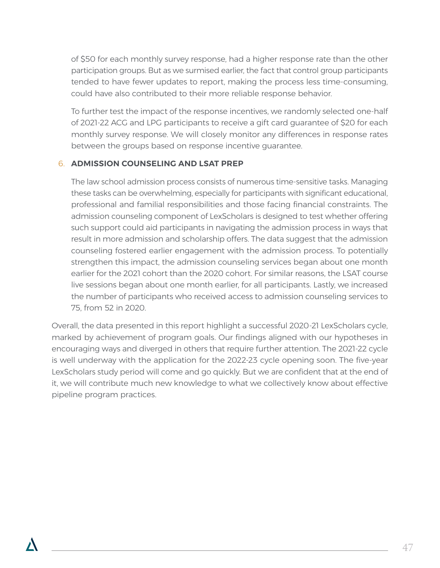of \$50 for each monthly survey response, had a higher response rate than the other participation groups. But as we surmised earlier, the fact that control group participants tended to have fewer updates to report, making the process less time-consuming, could have also contributed to their more reliable response behavior.

To further test the impact of the response incentives, we randomly selected one-half of 2021-22 ACG and LPG participants to receive a gift card guarantee of \$20 for each monthly survey response. We will closely monitor any differences in response rates between the groups based on response incentive guarantee.

### 6. **ADMISSION COUNSELING AND LSAT PREP**

The law school admission process consists of numerous time-sensitive tasks. Managing these tasks can be overwhelming, especially for participants with significant educational, professional and familial responsibilities and those facing financial constraints. The admission counseling component of LexScholars is designed to test whether offering such support could aid participants in navigating the admission process in ways that result in more admission and scholarship offers. The data suggest that the admission counseling fostered earlier engagement with the admission process. To potentially strengthen this impact, the admission counseling services began about one month earlier for the 2021 cohort than the 2020 cohort. For similar reasons, the LSAT course live sessions began about one month earlier, for all participants. Lastly, we increased the number of participants who received access to admission counseling services to 75, from 52 in 2020.

Overall, the data presented in this report highlight a successful 2020-21 LexScholars cycle, marked by achievement of program goals. Our findings aligned with our hypotheses in encouraging ways and diverged in others that require further attention. The 2021-22 cycle is well underway with the application for the 2022-23 cycle opening soon. The five-year LexScholars study period will come and go quickly. But we are confident that at the end of it, we will contribute much new knowledge to what we collectively know about effective pipeline program practices.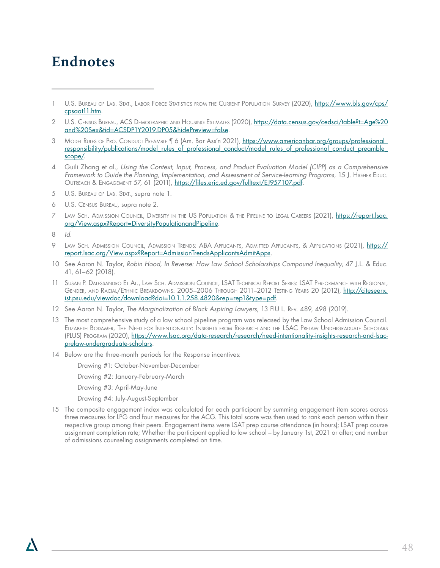### **Endnotes**

- 4 Guili Zhang et al., *Using the Context, Input, Process, and Product Evaluation Model (CIPP) as a Comprehensive*  Framework to Guide the Planning, Implementation, and Assessment of Service-learning Programs, 15 J. Higher Educ. OUTREACH & ENGAGEMENT 57, 61 (2011), [https://files.eric.ed.gov/fulltext/EJ957107.pdf.](https://files.eric.ed.gov/fulltext/EJ957107.pdf)
- 5 U.S. Bureau of Lab. Stat., supra note 1.
- 6 U.S. Census Bureau, supra note 2.
- 7 Law Sch. Admission Council, Diversity in the US Population & the Pipeline to Legal Careers (2021), [https://report.lsac.](https://report.lsac.org/View.aspx?Report=DiversityPopulationandPipeline) [org/View.aspx?Report=DiversityPopulationandPipeline](https://report.lsac.org/View.aspx?Report=DiversityPopulationandPipeline).
- 8 *Id*.
- 9 LAW SCH. ADMISSION COUNCIL, ADMISSION TRENDS: ABA APPLICANTS, ADMITTED APPLICANTS, & APPLICATIONS (2021), [https://](https://report.lsac.org/View.aspx?Report=AdmissionTrendsApplicantsAdmitApps) [report.lsac.org/View.aspx?Report=AdmissionTrendsApplicantsAdmitApps](https://report.lsac.org/View.aspx?Report=AdmissionTrendsApplicantsAdmitApps).
- 10 See Aaron N. Taylor, *Robin Hood, In Reverse: How Law School Scholarships Compound Inequality*, 47 J.L. & Educ. 41, 61–62 (2018).
- 11 Susan P. Dalessandro Et Al., Law Sch. Admission Council, LSAT Technical Report Series: LSAT Performance with Regional, GENDER, AND RACIAL/ETHNIC BREAKDOWNS: 2005–2006 THROUGH 2011–2012 TESTING YEARS 20 (2012), [http://citeseerx.](http://citeseerx.ist.psu.edu/viewdoc/download?doi=10.1.1.258.4820&rep=rep1&type=pdf) [ist.psu.edu/viewdoc/download?doi=10.1.1.258.4820&rep=rep1&type=pdf.](http://citeseerx.ist.psu.edu/viewdoc/download?doi=10.1.1.258.4820&rep=rep1&type=pdf)
- 12 See Aaron N. Taylor, *The Marginalization of Black Aspiring Lawyers*, 13 FIU L. Rev. 489, 498 (2019).
- 13 The most comprehensive study of a law school pipeline program was released by the Law School Admission Council. Elizabeth Bodamer, The Need for Intentionality: Insights from Research and the LSAC Prelaw Undergraduate Scholars (PLUS) Program (2020), [https://www.lsac.org/data-research/research/need-intentionality-insights-research-and-lsac](https://www.lsac.org/data-research/research/need-intentionality-insights-research-and-lsac-prelaw-undergraduate-scholars)[prelaw-undergraduate-scholars.](https://www.lsac.org/data-research/research/need-intentionality-insights-research-and-lsac-prelaw-undergraduate-scholars)
- 14 Below are the three-month periods for the Response incentives:

Drawing #1: October-November-December

Drawing #2: January-February-March

Drawing #3: April-May-June

Drawing #4: July-August-September

15 The composite engagement index was calculated for each participant by summing engagement item scores across three measures for LPG and four measures for the ACG. This total score was then used to rank each person within their respective group among their peers. Engagement items were LSAT prep course attendance (in hours); LSAT prep course assignment completion rate; Whether the participant applied to law school – by January 1st, 2021 or after; and number of admissions counseling assignments completed on time.

<sup>1</sup> U.S. Bureau of Lab. Stat., Labor Force Statistics from the Current Population Survey (2020), [https://www.bls.gov/cps/](https://www.bls.gov/cps/cpsaat11.htm) [cpsaat11.htm.](https://www.bls.gov/cps/cpsaat11.htm)

<sup>2</sup> U.S. CENSUS BUREAU, ACS DEMOGRAPHIC AND HOUSING ESTIMATES (2020), [https://data.census.gov/cedsci/table?t=Age%20](https://data.census.gov/cedsci/table?t=Age%20and%20Sex&tid=ACSDP1Y2019.DP05&hidePreview=false) [and%20Sex&tid=ACSDP1Y2019.DP05&hidePreview=false.](https://data.census.gov/cedsci/table?t=Age%20and%20Sex&tid=ACSDP1Y2019.DP05&hidePreview=false)

<sup>3</sup> Model Rules of Pro. Conduct Preamble | 6 (Am. Bar Ass'n 2021), https://www.americanbar.org/groups/professional [responsibility/publications/model\\_rules\\_of\\_professional\\_conduct/model\\_rules\\_of\\_professional\\_conduct\\_preamble\\_](https://www.americanbar.org/groups/professional_responsibility/publications/model_rules_of_professional_conduct/model_rules_of_professional_conduct_preamble_scope/) [scope/](https://www.americanbar.org/groups/professional_responsibility/publications/model_rules_of_professional_conduct/model_rules_of_professional_conduct_preamble_scope/).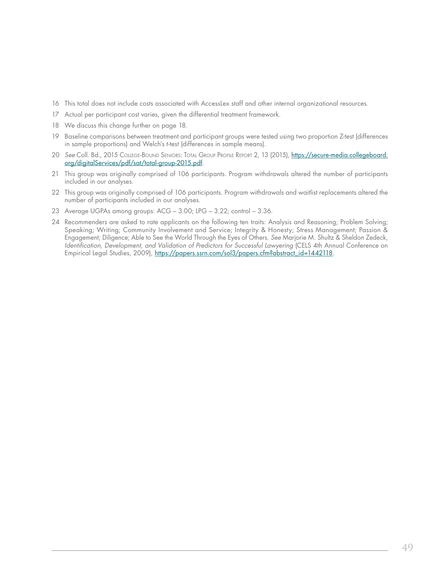- 16 This total does not include costs associated with AccessLex staff and other internal organizational resources.
- 17 Actual per participant cost varies, given the differential treatment framework.
- 18 We discuss this change further on page 18.
- 19 Baseline comparisons between treatment and participant groups were tested using two proportion Z-test (differences in sample proportions) and Welch's t-test (differences in sample means).
- 20 *See* Coll. Bd., 2015 College-Bound Seniors: Total Group Profile Report 2, 13 (2015), [https://secure-media.collegeboard.](https://secure-media.collegeboard.org/digitalServices/pdf/sat/total-group-2015.pdf) [org/digitalServices/pdf/sat/total-group-2015.pdf](https://secure-media.collegeboard.org/digitalServices/pdf/sat/total-group-2015.pdf).
- 21 This group was originally comprised of 106 participants. Program withdrawals altered the number of participants included in our analyses.
- 22 This group was originally comprised of 106 participants. Program withdrawals and waitlist replacements altered the number of participants included in our analyses.
- 23 Average UGPAs among groups: ACG 3.00; LPG 3.22; control 3.36.
- 24 Recommenders are asked to rate applicants on the following ten traits: Analysis and Reasoning; Problem Solving; Speaking; Writing; Community Involvement and Service; Integrity & Honesty; Stress Management; Passion & Engagement; Diligence; Able to See the World Through the Eyes of Others. *See* Marjorie M. Shultz & Sheldon Zedeck, *Identification, Development, and Validation of Predictors for Successful Lawyering* (CELS 4th Annual Conference on Empirical Legal Studies, 2009), [https://papers.ssrn.com/sol3/papers.cfm?abstract\\_id=1442118.](https://papers.ssrn.com/sol3/papers.cfm?abstract_id=1442118)